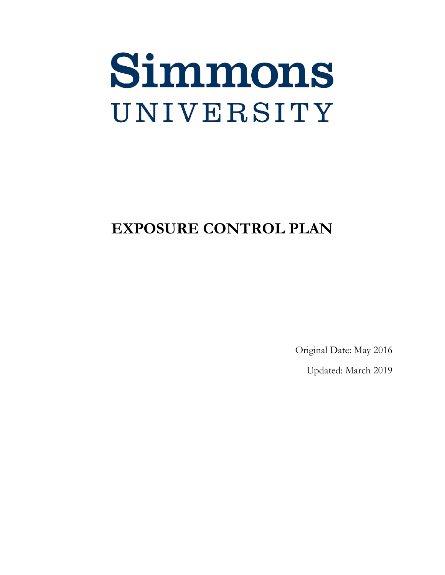# Simmons UNIVERSITY

# **EXPOSURE CONTROL PLAN**

Original Date: May 2016

Updated: March 2019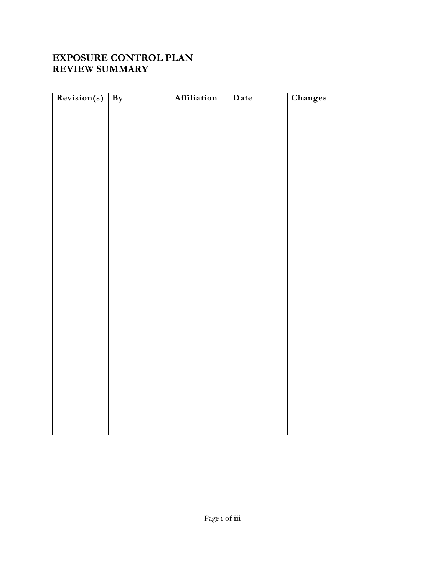# **EXPOSURE CONTROL PLAN REVIEW SUMMARY**

| Revision(s) | $\overline{By}$ | Affiliation | Date | Changes |
|-------------|-----------------|-------------|------|---------|
|             |                 |             |      |         |
|             |                 |             |      |         |
|             |                 |             |      |         |
|             |                 |             |      |         |
|             |                 |             |      |         |
|             |                 |             |      |         |
|             |                 |             |      |         |
|             |                 |             |      |         |
|             |                 |             |      |         |
|             |                 |             |      |         |
|             |                 |             |      |         |
|             |                 |             |      |         |
|             |                 |             |      |         |
|             |                 |             |      |         |
|             |                 |             |      |         |
|             |                 |             |      |         |
|             |                 |             |      |         |
|             |                 |             |      |         |
|             |                 |             |      |         |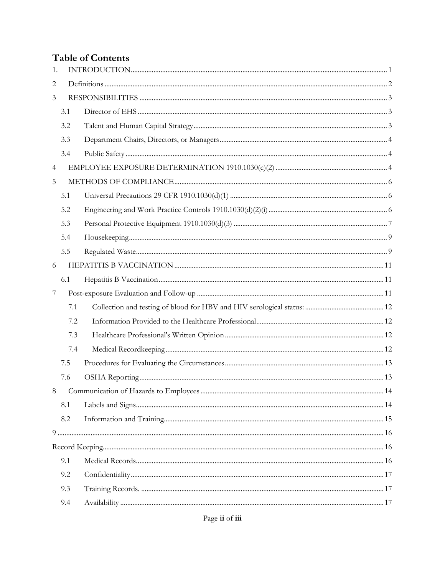# **Table of Contents**

| 1. |     |  |  |  |  |
|----|-----|--|--|--|--|
| 2  |     |  |  |  |  |
| 3  |     |  |  |  |  |
|    | 3.1 |  |  |  |  |
|    | 3.2 |  |  |  |  |
|    | 3.3 |  |  |  |  |
|    | 3.4 |  |  |  |  |
| 4  |     |  |  |  |  |
| 5  |     |  |  |  |  |
|    | 5.1 |  |  |  |  |
|    | 5.2 |  |  |  |  |
|    | 5.3 |  |  |  |  |
|    | 5.4 |  |  |  |  |
|    | 5.5 |  |  |  |  |
| 6  |     |  |  |  |  |
|    | 6.1 |  |  |  |  |
| 7  |     |  |  |  |  |
|    | 7.1 |  |  |  |  |
|    | 7.2 |  |  |  |  |
|    | 7.3 |  |  |  |  |
|    | 7.4 |  |  |  |  |
|    | 7.5 |  |  |  |  |
|    | 7.6 |  |  |  |  |
| 8  |     |  |  |  |  |
|    | 8.1 |  |  |  |  |
|    | 8.2 |  |  |  |  |
|    |     |  |  |  |  |
|    |     |  |  |  |  |
|    | 9.1 |  |  |  |  |
|    | 9.2 |  |  |  |  |
|    | 9.3 |  |  |  |  |
|    | 9.4 |  |  |  |  |

Page ii of iii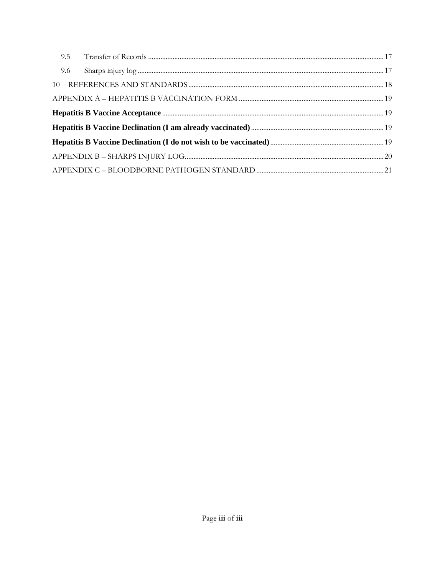| 9.6 |  |
|-----|--|
|     |  |
|     |  |
|     |  |
|     |  |
|     |  |
|     |  |
|     |  |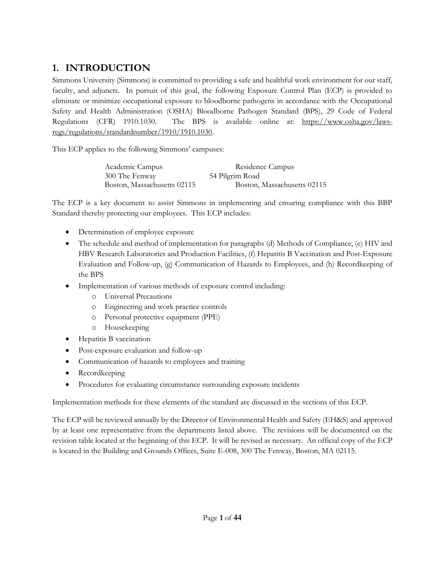# <span id="page-4-0"></span>**1. INTRODUCTION**

Simmons University (Simmons) is committed to providing a safe and healthful work environment for our staff, faculty, and adjuncts. In pursuit of this goal, the following Exposure Control Plan (ECP) is provided to eliminate or minimize occupational exposure to bloodborne pathogens in accordance with the Occupational Safety and Health Administration (OSHA) Bloodborne Pathogen Standard (BPS), 29 Code of Federal Regulations (CFR) 1910.1030. The BPS is available online at: [https://www.osha.gov/laws](https://www.osha.gov/laws-regs/regulations/standardnumber/1910/1910.1030)[regs/regulations/standardnumber/1910/1910.1030.](https://www.osha.gov/laws-regs/regulations/standardnumber/1910/1910.1030)

This ECP applies to the following Simmons' campuses:

| Academic Campus             | Residence Campus            |
|-----------------------------|-----------------------------|
| 300 The Fenway              | 54 Pilgrim Road             |
| Boston, Massachusetts 02115 | Boston, Massachusetts 02115 |

The ECP is a key document to assist Simmons in implementing and ensuring compliance with this BBP Standard thereby protecting our employees. This ECP includes:

- Determination of employee exposure
- The schedule and method of implementation for paragraphs (d) Methods of Compliance, (e) HIV and HBV Research Laboratories and Production Facilities, (f) Hepatitis B Vaccination and Post-Exposure Evaluation and Follow-up, (g) Communication of Hazards to Employees, and (h) Recordkeeping of the BPS
- Implementation of various methods of exposure control including:
	- o Universal Precautions
	- o Engineering and work practice controls
	- o Personal protective equipment (PPE)
	- o Housekeeping
- Hepatitis B vaccination
- Post-exposure evaluation and follow-up
- Communication of hazards to employees and training
- Recordkeeping
- Procedures for evaluating circumstance surrounding exposure incidents

Implementation methods for these elements of the standard are discussed in the sections of this ECP.

The ECP will be reviewed annually by the Director of Environmental Health and Safety (EH&S) and approved by at least one representative from the departments listed above. The revisions will be documented on the revision table located at the beginning of this ECP. It will be revised as necessary. An official copy of the ECP is located in the Building and Grounds Offices, Suite E-008, 300 The Fenway, Boston, MA 02115.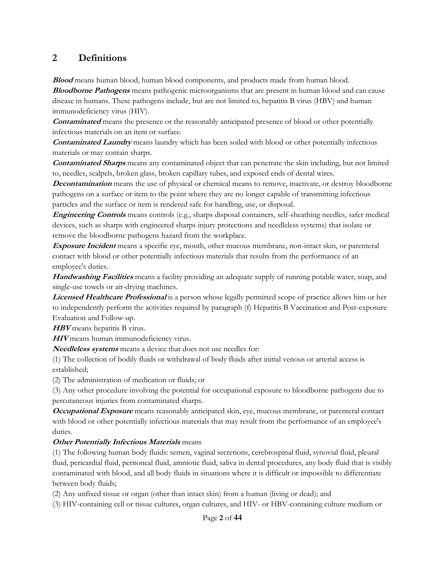# <span id="page-5-0"></span>**2 Definitions**

**Blood** means human blood, human blood components, and products made from human blood.

**Bloodborne Pathogens** means pathogenic microorganisms that are present in human blood and can cause disease in humans. These pathogens include, but are not limited to, hepatitis B virus (HBV) and human immunodeficiency virus (HIV).

**Contaminated** means the presence or the reasonably anticipated presence of blood or other potentially infectious materials on an item or surface.

**Contaminated Laundry** means laundry which has been soiled with blood or other potentially infectious materials or may contain sharps.

**Contaminated Sharps** means any contaminated object that can penetrate the skin including, but not limited to, needles, scalpels, broken glass, broken capillary tubes, and exposed ends of dental wires.

**Decontamination** means the use of physical or chemical means to remove, inactivate, or destroy bloodborne pathogens on a surface or item to the point where they are no longer capable of transmitting infectious particles and the surface or item is rendered safe for handling, use, or disposal.

**Engineering Controls** means controls (e.g., sharps disposal containers, self-sheathing needles, safer medical devices, such as sharps with engineered sharps injury protections and needleless systems) that isolate or remove the bloodborne pathogens hazard from the workplace.

**Exposure Incident** means a specific eye, mouth, other mucous membrane, non-intact skin, or parenteral contact with blood or other potentially infectious materials that results from the performance of an employee's duties.

**Handwashing Facilities** means a facility providing an adequate supply of running potable water, soap, and single-use towels or air-drying machines.

**Licensed Healthcare Professional** is a person whose legally permitted scope of practice allows him or her to independently perform the activities required by paragraph (f) Hepatitis B Vaccination and Post-exposure Evaluation and Follow-up.

**HBV** means hepatitis B virus.

**HIV** means human immunodeficiency virus.

**Needleless systems** means a device that does not use needles for:

(1) The collection of bodily fluids or withdrawal of body fluids after initial venous or arterial access is established;

(2) The administration of medication or fluids; or

(3) Any other procedure involving the potential for occupational exposure to bloodborne pathogens due to percutaneous injuries from contaminated sharps.

**Occupational Exposure** means reasonably anticipated skin, eye, mucous membrane, or parenteral contact with blood or other potentially infectious materials that may result from the performance of an employee's duties.

# **Other Potentially Infectious Materials** means

(1) The following human body fluids: semen, vaginal secretions, cerebrospinal fluid, synovial fluid, pleural fluid, pericardial fluid, peritoneal fluid, amniotic fluid, saliva in dental procedures, any body fluid that is visibly contaminated with blood, and all body fluids in situations where it is difficult or impossible to differentiate between body fluids;

(2) Any unfixed tissue or organ (other than intact skin) from a human (living or dead); and

(3) HIV-containing cell or tissue cultures, organ cultures, and HIV- or HBV-containing culture medium or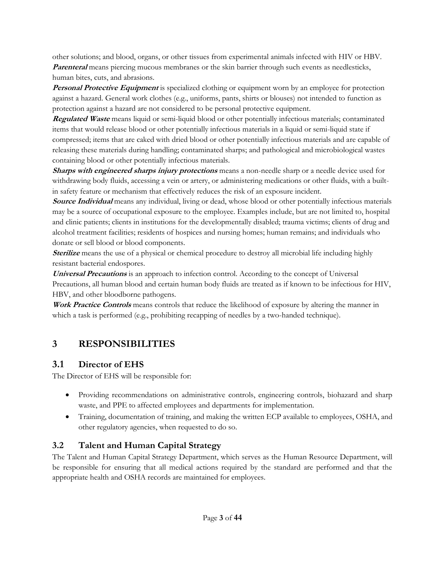other solutions; and blood, organs, or other tissues from experimental animals infected with HIV or HBV. **Parenteral** means piercing mucous membranes or the skin barrier through such events as needlesticks, human bites, cuts, and abrasions.

**Personal Protective Equipment** is specialized clothing or equipment worn by an employee for protection against a hazard. General work clothes (e.g., uniforms, pants, shirts or blouses) not intended to function as protection against a hazard are not considered to be personal protective equipment.

**Regulated Waste** means liquid or semi-liquid blood or other potentially infectious materials; contaminated items that would release blood or other potentially infectious materials in a liquid or semi-liquid state if compressed; items that are caked with dried blood or other potentially infectious materials and are capable of releasing these materials during handling; contaminated sharps; and pathological and microbiological wastes containing blood or other potentially infectious materials.

**Sharps with engineered sharps injury protections** means a non-needle sharp or a needle device used for withdrawing body fluids, accessing a vein or artery, or administering medications or other fluids, with a builtin safety feature or mechanism that effectively reduces the risk of an exposure incident.

**Source Individual** means any individual, living or dead, whose blood or other potentially infectious materials may be a source of occupational exposure to the employee. Examples include, but are not limited to, hospital and clinic patients; clients in institutions for the developmentally disabled; trauma victims; clients of drug and alcohol treatment facilities; residents of hospices and nursing homes; human remains; and individuals who donate or sell blood or blood components.

**Sterilize** means the use of a physical or chemical procedure to destroy all microbial life including highly resistant bacterial endospores.

**Universal Precautions** is an approach to infection control. According to the concept of Universal Precautions, all human blood and certain human body fluids are treated as if known to be infectious for HIV, HBV, and other bloodborne pathogens.

**Work Practice Controls** means controls that reduce the likelihood of exposure by altering the manner in which a task is performed (e.g., prohibiting recapping of needles by a two-handed technique).

# <span id="page-6-0"></span>**3 RESPONSIBILITIES**

# <span id="page-6-1"></span>**3.1 Director of EHS**

The Director of EHS will be responsible for:

- Providing recommendations on administrative controls, engineering controls, biohazard and sharp waste, and PPE to affected employees and departments for implementation.
- Training, documentation of training, and making the written ECP available to employees, OSHA, and other regulatory agencies, when requested to do so.

# <span id="page-6-2"></span>**3.2 Talent and Human Capital Strategy**

The Talent and Human Capital Strategy Department, which serves as the Human Resource Department, will be responsible for ensuring that all medical actions required by the standard are performed and that the appropriate health and OSHA records are maintained for employees.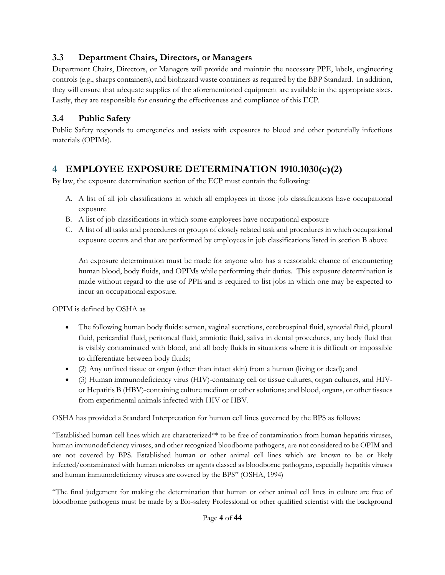# <span id="page-7-0"></span>**3.3 Department Chairs, Directors, or Managers**

Department Chairs, Directors, or Managers will provide and maintain the necessary PPE, labels, engineering controls (e.g., sharps containers), and biohazard waste containers as required by the BBP Standard. In addition, they will ensure that adequate supplies of the aforementioned equipment are available in the appropriate sizes. Lastly, they are responsible for ensuring the effectiveness and compliance of this ECP.

# <span id="page-7-1"></span>**3.4 Public Safety**

Public Safety responds to emergencies and assists with exposures to blood and other potentially infectious materials (OPIMs).

# <span id="page-7-2"></span>**4 EMPLOYEE EXPOSURE DETERMINATION [1910.1030\(c\)\(2\)](https://www.osha.gov/laws-regs/interlinking/standards/1910.1030(c)(2))**

By law, the exposure determination section of the ECP must contain the following:

- A. A list of all job classifications in which all employees in those job classifications have occupational exposure
- B. A list of job classifications in which some employees have occupational exposure
- C. A list of all tasks and procedures or groups of closely related task and procedures in which occupational exposure occurs and that are performed by employees in job classifications listed in section B above

An exposure determination must be made for anyone who has a reasonable chance of encountering human blood, body fluids, and OPIMs while performing their duties. This exposure determination is made without regard to the use of PPE and is required to list jobs in which one may be expected to incur an occupational exposure.

OPIM is defined by OSHA as

- The following human body fluids: semen, vaginal secretions, cerebrospinal fluid, synovial fluid, pleural fluid, pericardial fluid, peritoneal fluid, amniotic fluid, saliva in dental procedures, any body fluid that is visibly contaminated with blood, and all body fluids in situations where it is difficult or impossible to differentiate between body fluids;
- (2) Any unfixed tissue or organ (other than intact skin) from a human (living or dead); and
- (3) Human immunodeficiency virus (HIV)-containing cell or tissue cultures, organ cultures, and HIVor Hepatitis B (HBV)-containing culture medium or other solutions; and blood, organs, or other tissues from experimental animals infected with HIV or HBV.

OSHA has provided a Standard Interpretation for human cell lines governed by the BPS as follows:

"Established human cell lines which are characterized\*\* to be free of contamination from human hepatitis viruses, human immunodeficiency viruses, and other recognized bloodborne pathogens, are not considered to be OPIM and are not covered by BPS. Established human or other animal cell lines which are known to be or likely infected/contaminated with human microbes or agents classed as bloodborne pathogens, especially hepatitis viruses and human immunodeficiency viruses are covered by the BPS" (OSHA, 1994)

"The final judgement for making the determination that human or other animal cell lines in culture are free of bloodborne pathogens must be made by a Bio-safety Professional or other qualified scientist with the background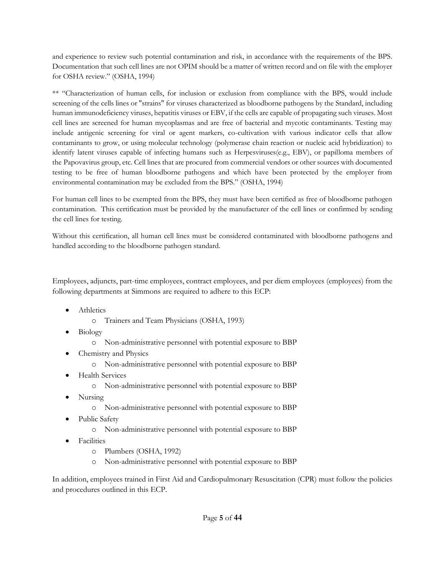and experience to review such potential contamination and risk, in accordance with the requirements of the BPS. Documentation that such cell lines are not OPIM should be a matter of written record and on file with the employer for OSHA review." (OSHA, 1994)

\*\* "Characterization of human cells, for inclusion or exclusion from compliance with the BPS, would include screening of the cells lines or "strains" for viruses characterized as bloodborne pathogens by the Standard, including human immunodeficiency viruses, hepatitis viruses or EBV, if the cells are capable of propagating such viruses. Most cell lines are screened for human mycoplasmas and are free of bacterial and mycotic contaminants. Testing may include antigenic screening for viral or agent markers, co-cultivation with various indicator cells that allow contaminants to grow, or using molecular technology (polymerase chain reaction or nucleic acid hybridization) to identify latent viruses capable of infecting humans such as Herpesviruses(e.g., EBV), or papilloma members of the Papovavirus group, etc. Cell lines that are procured from commercial vendors or other sources with documented testing to be free of human bloodborne pathogens and which have been protected by the employer from environmental contamination may be excluded from the BPS." (OSHA, 1994)

For human cell lines to be exempted from the BPS, they must have been certified as free of bloodborne pathogen contamination. This certification must be provided by the manufacturer of the cell lines or confirmed by sending the cell lines for testing.

Without this certification, all human cell lines must be considered contaminated with bloodborne pathogens and handled according to the bloodborne pathogen standard.

Employees, adjuncts, part-time employees, contract employees, and per diem employees (employees) from the following departments at Simmons are required to adhere to this ECP:

- **Athletics** 
	- o Trainers and Team Physicians (OSHA, 1993)
- Biology
	- o Non-administrative personnel with potential exposure to BBP
- Chemistry and Physics
	- o Non-administrative personnel with potential exposure to BBP
- **Health Services** 
	- o Non-administrative personnel with potential exposure to BBP
- Nursing
	- o Non-administrative personnel with potential exposure to BBP
- Public Safety
	- o Non-administrative personnel with potential exposure to BBP
- **Facilities** 
	- o Plumbers (OSHA, 1992)
	- o Non-administrative personnel with potential exposure to BBP

In addition, employees trained in First Aid and Cardiopulmonary Resuscitation (CPR) must follow the policies and procedures outlined in this ECP.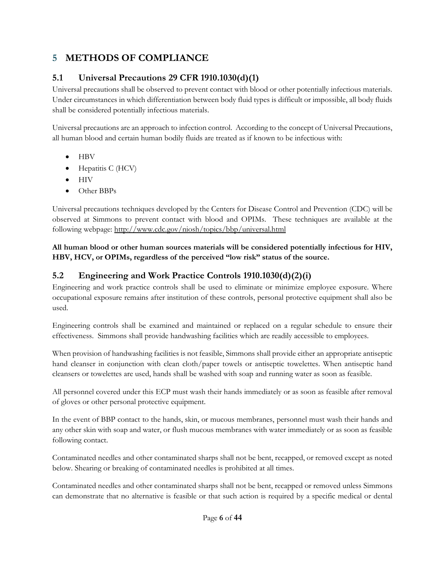# <span id="page-9-0"></span>**5 METHODS OF COMPLIANCE**

# <span id="page-9-1"></span>**5.1 Universal Precautions 29 CFR 1910.1030(d)(1)**

Universal precautions shall be observed to prevent contact with blood or other potentially infectious materials. Under circumstances in which differentiation between body fluid types is difficult or impossible, all body fluids shall be considered potentially infectious materials.

Universal precautions are an approach to infection control. According to the concept of Universal Precautions, all human blood and certain human bodily fluids are treated as if known to be infectious with:

- HBV
- Hepatitis C (HCV)
- HIV
- Other BBPs

Universal precautions techniques developed by the Centers for Disease Control and Prevention (CDC) will be observed at Simmons to prevent contact with blood and OPIMs. These techniques are available at the following webpage:<http://www.cdc.gov/niosh/topics/bbp/universal.html>

**All human blood or other human sources materials will be considered potentially infectious for HIV, HBV, HCV, or OPIMs, regardless of the perceived "low risk" status of the source.**

# <span id="page-9-2"></span>**5.2 Engineering and Work Practice Controls [1910.1030\(d\)\(2\)\(i\)](https://www.osha.gov/laws-regs/interlinking/standards/1910.1030(d)(2)(i))**

Engineering and work practice controls shall be used to eliminate or minimize employee exposure. Where occupational exposure remains after institution of these controls, personal protective equipment shall also be used.

Engineering controls shall be examined and maintained or replaced on a regular schedule to ensure their effectiveness. Simmons shall provide handwashing facilities which are readily accessible to employees.

When provision of handwashing facilities is not feasible, Simmons shall provide either an appropriate antiseptic hand cleanser in conjunction with clean cloth/paper towels or antiseptic towelettes. When antiseptic hand cleansers or towelettes are used, hands shall be washed with soap and running water as soon as feasible.

All personnel covered under this ECP must wash their hands immediately or as soon as feasible after removal of gloves or other personal protective equipment.

In the event of BBP contact to the hands, skin, or mucous membranes, personnel must wash their hands and any other skin with soap and water, or flush mucous membranes with water immediately or as soon as feasible following contact.

Contaminated needles and other contaminated sharps shall not be bent, recapped, or removed except as noted below. Shearing or breaking of contaminated needles is prohibited at all times.

Contaminated needles and other contaminated sharps shall not be bent, recapped or removed unless Simmons can demonstrate that no alternative is feasible or that such action is required by a specific medical or dental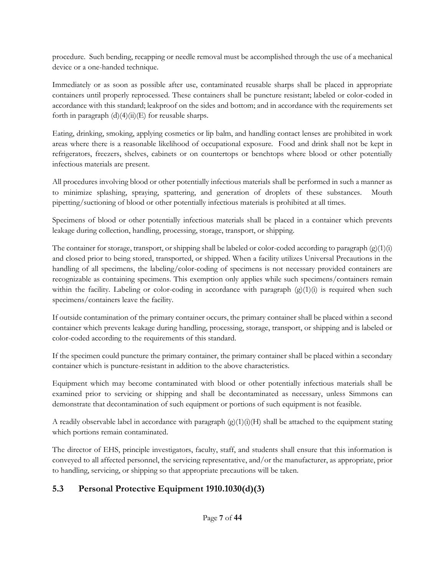procedure. Such bending, recapping or needle removal must be accomplished through the use of a mechanical device or a one-handed technique.

Immediately or as soon as possible after use, contaminated reusable sharps shall be placed in appropriate containers until properly reprocessed. These containers shall be puncture resistant; labeled or color-coded in accordance with this standard; leakproof on the sides and bottom; and in accordance with the requirements set forth in paragraph  $(d)(4)(ii)(E)$  for reusable sharps.

Eating, drinking, smoking, applying cosmetics or lip balm, and handling contact lenses are prohibited in work areas where there is a reasonable likelihood of occupational exposure. Food and drink shall not be kept in refrigerators, freezers, shelves, cabinets or on countertops or benchtops where blood or other potentially infectious materials are present.

All procedures involving blood or other potentially infectious materials shall be performed in such a manner as to minimize splashing, spraying, spattering, and generation of droplets of these substances. Mouth pipetting/suctioning of blood or other potentially infectious materials is prohibited at all times.

Specimens of blood or other potentially infectious materials shall be placed in a container which prevents leakage during collection, handling, processing, storage, transport, or shipping.

The container for storage, transport, or shipping shall be labeled or color-coded according to paragraph  $(g)(1)(i)$ and closed prior to being stored, transported, or shipped. When a facility utilizes Universal Precautions in the handling of all specimens, the labeling/color-coding of specimens is not necessary provided containers are recognizable as containing specimens. This exemption only applies while such specimens/containers remain within the facility. Labeling or color-coding in accordance with paragraph  $(g)(1)(i)$  is required when such specimens/containers leave the facility.

If outside contamination of the primary container occurs, the primary container shall be placed within a second container which prevents leakage during handling, processing, storage, transport, or shipping and is labeled or color-coded according to the requirements of this standard.

If the specimen could puncture the primary container, the primary container shall be placed within a secondary container which is puncture-resistant in addition to the above characteristics.

Equipment which may become contaminated with blood or other potentially infectious materials shall be examined prior to servicing or shipping and shall be decontaminated as necessary, unless Simmons can demonstrate that decontamination of such equipment or portions of such equipment is not feasible.

A readily observable label in accordance with paragraph  $(g)(1)(i)(H)$  shall be attached to the equipment stating which portions remain contaminated.

The director of EHS, principle investigators, faculty, staff, and students shall ensure that this information is conveyed to all affected personnel, the servicing representative, and/or the manufacturer, as appropriate, prior to handling, servicing, or shipping so that appropriate precautions will be taken.

# <span id="page-10-0"></span>**5.3 Personal Protective Equipment [1910.1030\(d\)\(3\)](https://www.osha.gov/laws-regs/interlinking/standards/1910.1030(d)(3))**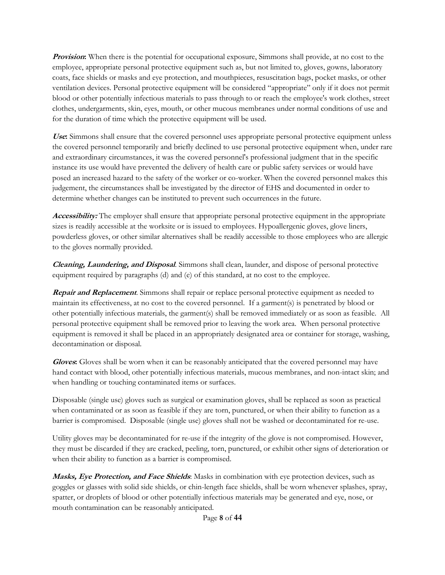**Provision:** When there is the potential for occupational exposure, Simmons shall provide, at no cost to the employee, appropriate personal protective equipment such as, but not limited to, gloves, gowns, laboratory coats, face shields or masks and eye protection, and mouthpieces, resuscitation bags, pocket masks, or other ventilation devices. Personal protective equipment will be considered "appropriate" only if it does not permit blood or other potentially infectious materials to pass through to or reach the employee's work clothes, street clothes, undergarments, skin, eyes, mouth, or other mucous membranes under normal conditions of use and for the duration of time which the protective equipment will be used.

**Use:** Simmons shall ensure that the covered personnel uses appropriate personal protective equipment unless the covered personnel temporarily and briefly declined to use personal protective equipment when, under rare and extraordinary circumstances, it was the covered personnel's professional judgment that in the specific instance its use would have prevented the delivery of health care or public safety services or would have posed an increased hazard to the safety of the worker or co-worker. When the covered personnel makes this judgement, the circumstances shall be investigated by the director of EHS and documented in order to determine whether changes can be instituted to prevent such occurrences in the future.

**Accessibility:** The employer shall ensure that appropriate personal protective equipment in the appropriate sizes is readily accessible at the worksite or is issued to employees. Hypoallergenic gloves, glove liners, powderless gloves, or other similar alternatives shall be readily accessible to those employees who are allergic to the gloves normally provided.

**Cleaning, Laundering, and Disposal**. Simmons shall clean, launder, and dispose of personal protective equipment required by paragraphs (d) and (e) of this standard, at no cost to the employee.

**Repair and Replacement**. Simmons shall repair or replace personal protective equipment as needed to maintain its effectiveness, at no cost to the covered personnel. If a garment(s) is penetrated by blood or other potentially infectious materials, the garment(s) shall be removed immediately or as soon as feasible. All personal protective equipment shall be removed prior to leaving the work area. When personal protective equipment is removed it shall be placed in an appropriately designated area or container for storage, washing, decontamination or disposal.

**Gloves:** Gloves shall be worn when it can be reasonably anticipated that the covered personnel may have hand contact with blood, other potentially infectious materials, mucous membranes, and non-intact skin; and when handling or touching contaminated items or surfaces.

Disposable (single use) gloves such as surgical or examination gloves, shall be replaced as soon as practical when contaminated or as soon as feasible if they are torn, punctured, or when their ability to function as a barrier is compromised. Disposable (single use) gloves shall not be washed or decontaminated for re-use.

Utility gloves may be decontaminated for re-use if the integrity of the glove is not compromised. However, they must be discarded if they are cracked, peeling, torn, punctured, or exhibit other signs of deterioration or when their ability to function as a barrier is compromised.

**Masks, Eye Protection, and Face Shields**: Masks in combination with eye protection devices, such as goggles or glasses with solid side shields, or chin-length face shields, shall be worn whenever splashes, spray, spatter, or droplets of blood or other potentially infectious materials may be generated and eye, nose, or mouth contamination can be reasonably anticipated.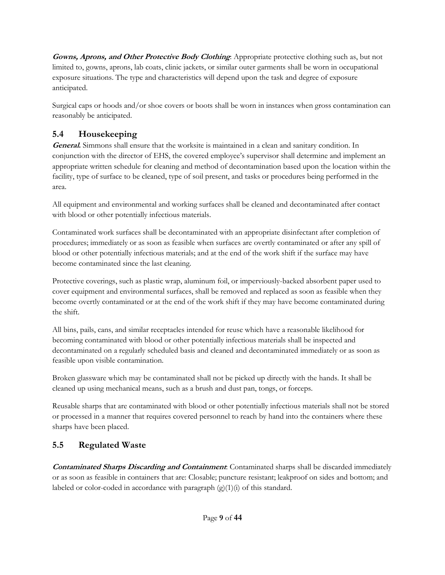**Gowns, Aprons, and Other Protective Body Clothing**: Appropriate protective clothing such as, but not limited to, gowns, aprons, lab coats, clinic jackets, or similar outer garments shall be worn in occupational exposure situations. The type and characteristics will depend upon the task and degree of exposure anticipated.

Surgical caps or hoods and/or shoe covers or boots shall be worn in instances when gross contamination can reasonably be anticipated.

# <span id="page-12-0"></span>**5.4 Housekeeping**

**General.** Simmons shall ensure that the worksite is maintained in a clean and sanitary condition. In conjunction with the director of EHS, the covered employee's supervisor shall determine and implement an appropriate written schedule for cleaning and method of decontamination based upon the location within the facility, type of surface to be cleaned, type of soil present, and tasks or procedures being performed in the area.

All equipment and environmental and working surfaces shall be cleaned and decontaminated after contact with blood or other potentially infectious materials.

Contaminated work surfaces shall be decontaminated with an appropriate disinfectant after completion of procedures; immediately or as soon as feasible when surfaces are overtly contaminated or after any spill of blood or other potentially infectious materials; and at the end of the work shift if the surface may have become contaminated since the last cleaning.

Protective coverings, such as plastic wrap, aluminum foil, or imperviously-backed absorbent paper used to cover equipment and environmental surfaces, shall be removed and replaced as soon as feasible when they become overtly contaminated or at the end of the work shift if they may have become contaminated during the shift.

All bins, pails, cans, and similar receptacles intended for reuse which have a reasonable likelihood for becoming contaminated with blood or other potentially infectious materials shall be inspected and decontaminated on a regularly scheduled basis and cleaned and decontaminated immediately or as soon as feasible upon visible contamination.

Broken glassware which may be contaminated shall not be picked up directly with the hands. It shall be cleaned up using mechanical means, such as a brush and dust pan, tongs, or forceps.

Reusable sharps that are contaminated with blood or other potentially infectious materials shall not be stored or processed in a manner that requires covered personnel to reach by hand into the containers where these sharps have been placed.

# <span id="page-12-1"></span>**5.5 Regulated Waste**

**Contaminated Sharps Discarding and Containment**: Contaminated sharps shall be discarded immediately or as soon as feasible in containers that are: Closable; puncture resistant; leakproof on sides and bottom; and labeled or color-coded in accordance with paragraph (g)(1)(i) of this standard.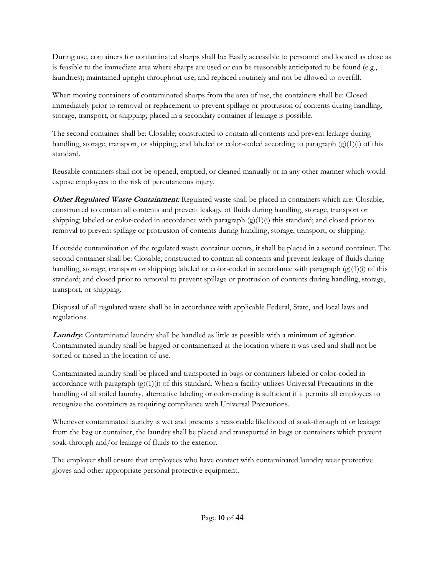During use, containers for contaminated sharps shall be: Easily accessible to personnel and located as close as is feasible to the immediate area where sharps are used or can be reasonably anticipated to be found (e.g., laundries); maintained upright throughout use; and replaced routinely and not be allowed to overfill.

When moving containers of contaminated sharps from the area of use, the containers shall be: Closed immediately prior to removal or replacement to prevent spillage or protrusion of contents during handling, storage, transport, or shipping; placed in a secondary container if leakage is possible.

The second container shall be: Closable; constructed to contain all contents and prevent leakage during handling, storage, transport, or shipping; and labeled or color-coded according to paragraph (g)(1)(i) of this standard.

Reusable containers shall not be opened, emptied, or cleaned manually or in any other manner which would expose employees to the risk of percutaneous injury.

**Other Regulated Waste Containment:** Regulated waste shall be placed in containers which are: Closable; constructed to contain all contents and prevent leakage of fluids during handling, storage, transport or shipping; labeled or color-coded in accordance with paragraph  $(g)(1)(i)$  this standard; and closed prior to removal to prevent spillage or protrusion of contents during handling, storage, transport, or shipping.

If outside contamination of the regulated waste container occurs, it shall be placed in a second container. The second container shall be: Closable; constructed to contain all contents and prevent leakage of fluids during handling, storage, transport or shipping; labeled or color-coded in accordance with paragraph (g)(1)(i) of this standard; and closed prior to removal to prevent spillage or protrusion of contents during handling, storage, transport, or shipping.

Disposal of all regulated waste shall be in accordance with applicable Federal, State, and local laws and regulations.

**Laundry:** Contaminated laundry shall be handled as little as possible with a minimum of agitation. Contaminated laundry shall be bagged or containerized at the location where it was used and shall not be sorted or rinsed in the location of use.

Contaminated laundry shall be placed and transported in bags or containers labeled or color-coded in accordance with paragraph  $(g)(1)(i)$  of this standard. When a facility utilizes Universal Precautions in the handling of all soiled laundry, alternative labeling or color-coding is sufficient if it permits all employees to recognize the containers as requiring compliance with Universal Precautions.

Whenever contaminated laundry is wet and presents a reasonable likelihood of soak-through of or leakage from the bag or container, the laundry shall be placed and transported in bags or containers which prevent soak-through and/or leakage of fluids to the exterior.

The employer shall ensure that employees who have contact with contaminated laundry wear protective gloves and other appropriate personal protective equipment.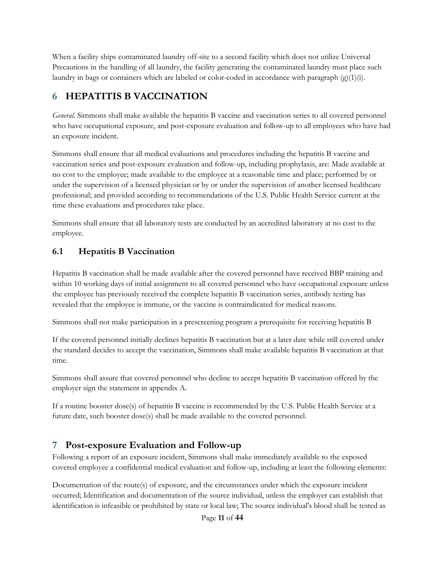When a facility ships contaminated laundry off-site to a second facility which does not utilize Universal Precautions in the handling of all laundry, the facility generating the contaminated laundry must place such laundry in bags or containers which are labeled or color-coded in accordance with paragraph  $(g)(1)(i)$ .

# <span id="page-14-0"></span>**6 HEPATITIS B VACCINATION**

*General.* Simmons shall make available the hepatitis B vaccine and vaccination series to all covered personnel who have occupational exposure, and post-exposure evaluation and follow-up to all employees who have had an exposure incident.

Simmons shall ensure that all medical evaluations and procedures including the hepatitis B vaccine and vaccination series and post-exposure evaluation and follow-up, including prophylaxis, are: Made available at no cost to the employee; made available to the employee at a reasonable time and place; performed by or under the supervision of a licensed physician or by or under the supervision of another licensed healthcare professional; and provided according to recommendations of the U.S. Public Health Service current at the time these evaluations and procedures take place.

Simmons shall ensure that all laboratory tests are conducted by an accredited laboratory at no cost to the employee.

# <span id="page-14-1"></span>**6.1 Hepatitis B Vaccination**

Hepatitis B vaccination shall be made available after the covered personnel have received BBP training and within 10 working days of initial assignment to all covered personnel who have occupational exposure unless the employee has previously received the complete hepatitis B vaccination series, antibody testing has revealed that the employee is immune, or the vaccine is contraindicated for medical reasons.

Simmons shall not make participation in a prescreening program a prerequisite for receiving hepatitis B

If the covered personnel initially declines hepatitis B vaccination but at a later date while still covered under the standard decides to accept the vaccination, Simmons shall make available hepatitis B vaccination at that time.

Simmons shall assure that covered personnel who decline to accept hepatitis B vaccination offered by the employer sign the statement in appendix A.

If a routine booster dose(s) of hepatitis B vaccine is recommended by the U.S. Public Health Service at a future date, such booster dose(s) shall be made available to the covered personnel.

# <span id="page-14-2"></span>**7 Post-exposure Evaluation and Follow-up**

Following a report of an exposure incident, Simmons shall make immediately available to the exposed covered employee a confidential medical evaluation and follow-up, including at least the following elements:

Documentation of the route(s) of exposure, and the circumstances under which the exposure incident occurred; Identification and documentation of the source individual, unless the employer can establish that identification is infeasible or prohibited by state or local law; The source individual's blood shall be tested as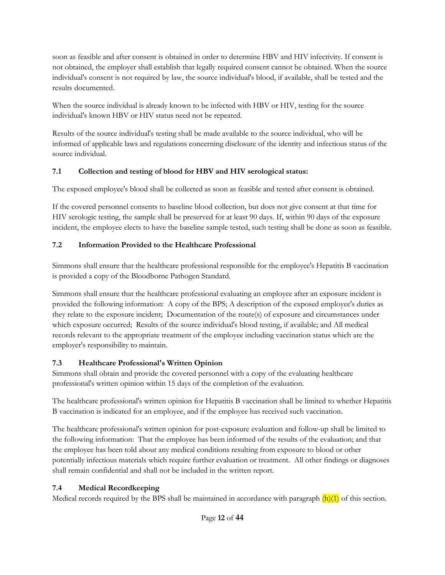soon as feasible and after consent is obtained in order to determine HBV and HIV infectivity. If consent is not obtained, the employer shall establish that legally required consent cannot be obtained. When the source individual's consent is not required by law, the source individual's blood, if available, shall be tested and the results documented.

When the source individual is already known to be infected with HBV or HIV, testing for the source individual's known HBV or HIV status need not be repeated.

Results of the source individual's testing shall be made available to the source individual, who will be informed of applicable laws and regulations concerning disclosure of the identity and infectious status of the source individual.

# <span id="page-15-0"></span>**7.1 Collection and testing of blood for HBV and HIV serological status:**

The exposed employee's blood shall be collected as soon as feasible and tested after consent is obtained.

If the covered personnel consents to baseline blood collection, but does not give consent at that time for HIV serologic testing, the sample shall be preserved for at least 90 days. If, within 90 days of the exposure incident, the employee elects to have the baseline sample tested, such testing shall be done as soon as feasible.

# <span id="page-15-1"></span>**7.2 Information Provided to the Healthcare Professional**

Simmons shall ensure that the healthcare professional responsible for the employee's Hepatitis B vaccination is provided a copy of the Bloodborne Pathogen Standard.

Simmons shall ensure that the healthcare professional evaluating an employee after an exposure incident is provided the following information: A copy of the BPS; A description of the exposed employee's duties as they relate to the exposure incident; Documentation of the route(s) of exposure and circumstances under which exposure occurred; Results of the source individual's blood testing, if available; and All medical records relevant to the appropriate treatment of the employee including vaccination status which are the employer's responsibility to maintain.

# <span id="page-15-2"></span>**7.3 Healthcare Professional's Written Opinion**

Simmons shall obtain and provide the covered personnel with a copy of the evaluating healthcare professional's written opinion within 15 days of the completion of the evaluation.

The healthcare professional's written opinion for Hepatitis B vaccination shall be limited to whether Hepatitis B vaccination is indicated for an employee, and if the employee has received such vaccination.

The healthcare professional's written opinion for post-exposure evaluation and follow-up shall be limited to the following information: That the employee has been informed of the results of the evaluation; and that the employee has been told about any medical conditions resulting from exposure to blood or other potentially infectious materials which require further evaluation or treatment. All other findings or diagnoses shall remain confidential and shall not be included in the written report.

# <span id="page-15-3"></span>**7.4 Medical Recordkeeping**

Medical records required by the BPS shall be maintained in accordance with paragraph  $(h)(1)$  of this section.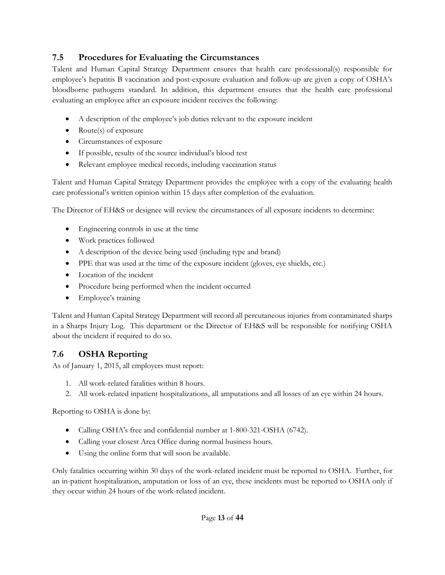# <span id="page-16-0"></span>**7.5 Procedures for Evaluating the Circumstances**

Talent and Human Capital Strategy Department ensures that health care professional(s) responsible for employee's hepatitis B vaccination and post-exposure evaluation and follow-up are given a copy of OSHA's bloodborne pathogens standard. In addition, this department ensures that the health care professional evaluating an employee after an exposure incident receives the following:

- A description of the employee's job duties relevant to the exposure incident
- Route(s) of exposure
- Circumstances of exposure
- If possible, results of the source individual's blood test
- Relevant employee medical records, including vaccination status

Talent and Human Capital Strategy Department provides the employee with a copy of the evaluating health care professional's written opinion within 15 days after completion of the evaluation.

The Director of EH&S or designee will review the circumstances of all exposure incidents to determine:

- Engineering controls in use at the time
- Work practices followed
- A description of the device being used (including type and brand)
- PPE that was used at the time of the exposure incident (gloves, eye shields, etc.)
- Location of the incident
- Procedure being performed when the incident occurred
- Employee's training

Talent and Human Capital Strategy Department will record all percutaneous injuries from contaminated sharps in a Sharps Injury Log. This department or the Director of EH&S will be responsible for notifying OSHA about the incident if required to do so.

# <span id="page-16-1"></span>**7.6 OSHA Reporting**

As of January 1, 2015, all employers must report:

- 1. All work-related fatalities within 8 hours.
- 2. All work-related inpatient hospitalizations, all amputations and all losses of an eye within 24 hours.

Reporting to OSHA is done by:

- Calling OSHA's free and confidential number at 1-800-321-OSHA (6742).
- Calling your closest Area Office during normal business hours.
- Using the online form that will soon be available.

Only fatalities occurring within 30 days of the work-related incident must be reported to OSHA. Further, for an in-patient hospitalization, amputation or loss of an eye, these incidents must be reported to OSHA only if they occur within 24 hours of the work-related incident.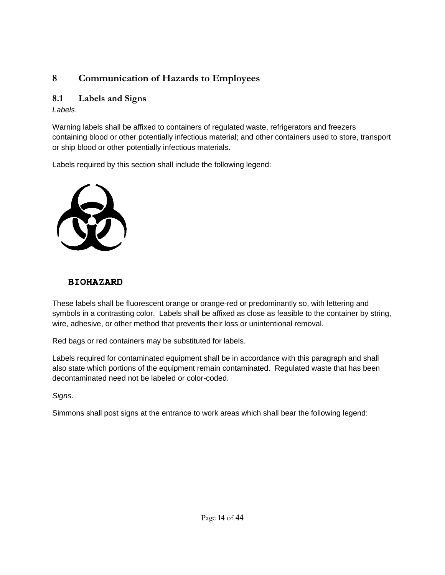# <span id="page-17-0"></span>**8 Communication of Hazards to Employees**

# <span id="page-17-1"></span>**8.1 Labels and Signs**

*Labels*.

Warning labels shall be affixed to containers of regulated waste, refrigerators and freezers containing blood or other potentially infectious material; and other containers used to store, transport or ship blood or other potentially infectious materials.

Labels required by this section shall include the following legend:



# **BIOHAZARD**

These labels shall be fluorescent orange or orange-red or predominantly so, with lettering and symbols in a contrasting color. Labels shall be affixed as close as feasible to the container by string, wire, adhesive, or other method that prevents their loss or unintentional removal.

Red bags or red containers may be substituted for labels.

Labels required for contaminated equipment shall be in accordance with this paragraph and shall also state which portions of the equipment remain contaminated. Regulated waste that has been decontaminated need not be labeled or color-coded.

*Signs*.

Simmons shall post signs at the entrance to work areas which shall bear the following legend: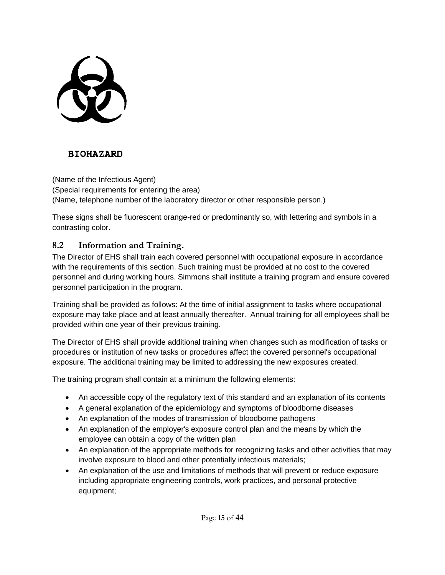

# **BIOHAZARD**

(Name of the Infectious Agent) (Special requirements for entering the area) (Name, telephone number of the laboratory director or other responsible person.)

These signs shall be fluorescent orange-red or predominantly so, with lettering and symbols in a contrasting color.

# <span id="page-18-0"></span>**8.2 Information and Training.**

The Director of EHS shall train each covered personnel with occupational exposure in accordance with the requirements of this section. Such training must be provided at no cost to the covered personnel and during working hours. Simmons shall institute a training program and ensure covered personnel participation in the program.

Training shall be provided as follows: At the time of initial assignment to tasks where occupational exposure may take place and at least annually thereafter. Annual training for all employees shall be provided within one year of their previous training.

The Director of EHS shall provide additional training when changes such as modification of tasks or procedures or institution of new tasks or procedures affect the covered personnel's occupational exposure. The additional training may be limited to addressing the new exposures created.

The training program shall contain at a minimum the following elements:

- An accessible copy of the regulatory text of this standard and an explanation of its contents
- A general explanation of the epidemiology and symptoms of bloodborne diseases
- An explanation of the modes of transmission of bloodborne pathogens
- An explanation of the employer's exposure control plan and the means by which the employee can obtain a copy of the written plan
- An explanation of the appropriate methods for recognizing tasks and other activities that may involve exposure to blood and other potentially infectious materials;
- An explanation of the use and limitations of methods that will prevent or reduce exposure including appropriate engineering controls, work practices, and personal protective equipment;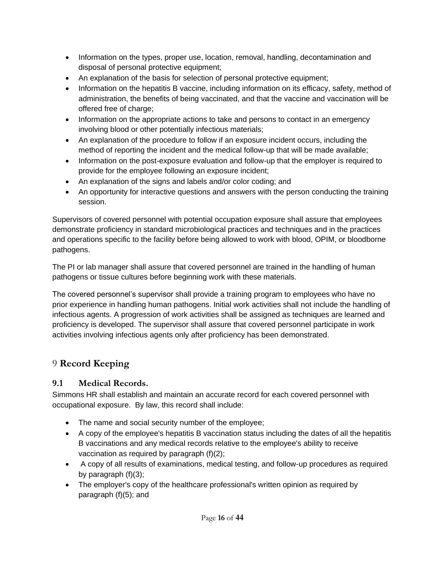- Information on the types, proper use, location, removal, handling, decontamination and disposal of personal protective equipment;
- An explanation of the basis for selection of personal protective equipment;
- Information on the hepatitis B vaccine, including information on its efficacy, safety, method of administration, the benefits of being vaccinated, and that the vaccine and vaccination will be offered free of charge;
- Information on the appropriate actions to take and persons to contact in an emergency involving blood or other potentially infectious materials;
- An explanation of the procedure to follow if an exposure incident occurs, including the method of reporting the incident and the medical follow-up that will be made available;
- Information on the post-exposure evaluation and follow-up that the employer is required to provide for the employee following an exposure incident;
- An explanation of the signs and labels and/or color coding; and
- An opportunity for interactive questions and answers with the person conducting the training session.

Supervisors of covered personnel with potential occupation exposure shall assure that employees demonstrate proficiency in standard microbiological practices and techniques and in the practices and operations specific to the facility before being allowed to work with blood, OPIM, or bloodborne pathogens.

The PI or lab manager shall assure that covered personnel are trained in the handling of human pathogens or tissue cultures before beginning work with these materials.

The covered personnel's supervisor shall provide a training program to employees who have no prior experience in handling human pathogens. Initial work activities shall not include the handling of infectious agents. A progression of work activities shall be assigned as techniques are learned and proficiency is developed. The supervisor shall assure that covered personnel participate in work activities involving infectious agents only after proficiency has been demonstrated.

# <span id="page-19-1"></span><span id="page-19-0"></span>9 **Record Keeping**

# <span id="page-19-2"></span>**9.1 Medical Records.**

Simmons HR shall establish and maintain an accurate record for each covered personnel with occupational exposure. By law, this record shall include:

- The name and social security number of the employee;
- A copy of the employee's hepatitis B vaccination status including the dates of all the hepatitis B vaccinations and any medical records relative to the employee's ability to receive vaccination as required by paragraph (f)(2);
- A copy of all results of examinations, medical testing, and follow-up procedures as required by paragraph (f)(3);
- The employer's copy of the healthcare professional's written opinion as required by paragraph (f)(5); and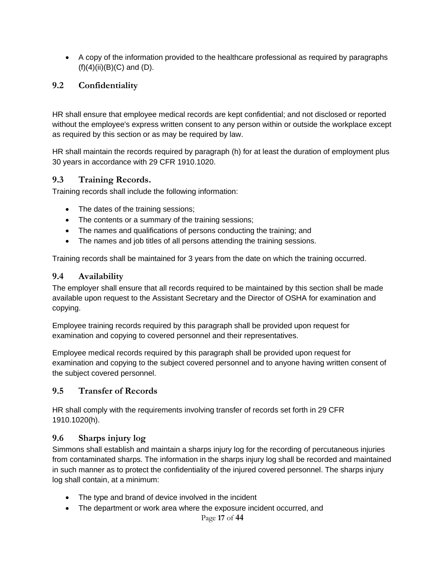• A copy of the information provided to the healthcare professional as required by paragraphs  $(f)(4)(ii)(B)(C)$  and  $(D)$ .

# <span id="page-20-0"></span>**9.2 Confidentiality**

HR shall ensure that employee medical records are kept confidential; and not disclosed or reported without the employee's express written consent to any person within or outside the workplace except as required by this section or as may be required by law.

HR shall maintain the records required by paragraph (h) for at least the duration of employment plus 30 years in accordance with 29 CFR 1910.1020.

# <span id="page-20-1"></span>**9.3 Training Records.**

Training records shall include the following information:

- The dates of the training sessions;
- The contents or a summary of the training sessions;
- The names and qualifications of persons conducting the training; and
- The names and job titles of all persons attending the training sessions.

Training records shall be maintained for 3 years from the date on which the training occurred.

# <span id="page-20-2"></span>**9.4 Availability**

The employer shall ensure that all records required to be maintained by this section shall be made available upon request to the Assistant Secretary and the Director of OSHA for examination and copying.

Employee training records required by this paragraph shall be provided upon request for examination and copying to covered personnel and their representatives.

Employee medical records required by this paragraph shall be provided upon request for examination and copying to the subject covered personnel and to anyone having written consent of the subject covered personnel.

# <span id="page-20-3"></span>**9.5 Transfer of Records**

HR shall comply with the requirements involving transfer of records set forth in 29 CFR 1910.1020(h).

# <span id="page-20-4"></span>**9.6 Sharps injury log**

Simmons shall establish and maintain a sharps injury log for the recording of percutaneous injuries from contaminated sharps. The information in the sharps injury log shall be recorded and maintained in such manner as to protect the confidentiality of the injured covered personnel. The sharps injury log shall contain, at a minimum:

- The type and brand of device involved in the incident
- The department or work area where the exposure incident occurred, and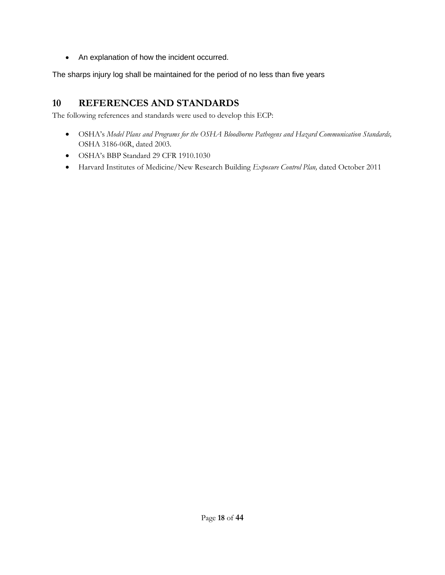• An explanation of how the incident occurred.

The sharps injury log shall be maintained for the period of no less than five years

# <span id="page-21-0"></span>**10 REFERENCES AND STANDARDS**

The following references and standards were used to develop this ECP:

- OSHA's *Model Plans and Programs for the OSHA Bloodborne Pathogens and Hazard Communication Standards,*  OSHA 3186-06R, dated 2003.
- OSHA's BBP Standard 29 CFR 1910.1030
- Harvard Institutes of Medicine/New Research Building *Exposure Control Plan,* dated October 2011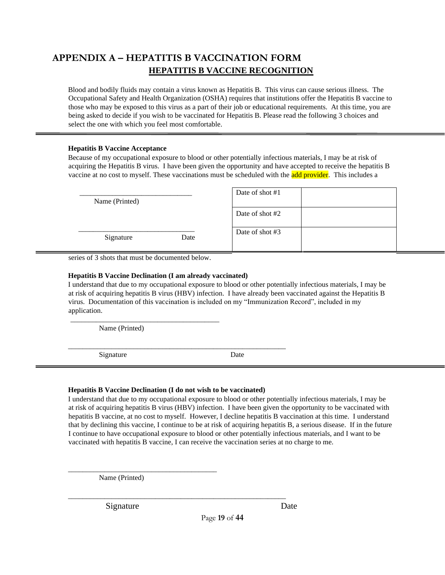# <span id="page-22-0"></span>**APPENDIX A – HEPATITIS B VACCINATION FORM HEPATITIS B VACCINE RECOGNITION**

Blood and bodily fluids may contain a virus known as Hepatitis B. This virus can cause serious illness. The Occupational Safety and Health Organization (OSHA) requires that institutions offer the Hepatitis B vaccine to those who may be exposed to this virus as a part of their job or educational requirements. At this time, you are being asked to decide if you wish to be vaccinated for Hepatitis B. Please read the following 3 choices and select the one with which you feel most comfortable.

# <span id="page-22-1"></span>**Hepatitis B Vaccine Acceptance**

Because of my occupational exposure to blood or other potentially infectious materials, I may be at risk of acquiring the Hepatitis B virus. I have been given the opportunity and have accepted to receive the hepatitis B vaccine at no cost to myself. These vaccinations must be scheduled with the **add provider**. This includes a

|                   | Date of shot #1 |  |
|-------------------|-----------------|--|
| Name (Printed)    |                 |  |
|                   | Date of shot #2 |  |
| Signature<br>Date | Date of shot #3 |  |

series of 3 shots that must be documented below.

\_\_\_\_\_\_\_\_\_\_\_\_\_\_\_\_\_\_\_\_\_\_\_\_\_\_\_\_\_\_\_\_\_\_\_\_\_\_\_\_\_

# <span id="page-22-2"></span>**Hepatitis B Vaccine Declination (I am already vaccinated)**

I understand that due to my occupational exposure to blood or other potentially infectious materials, I may be at risk of acquiring hepatitis B virus (HBV) infection. I have already been vaccinated against the Hepatitis B virus. Documentation of this vaccination is included on my "Immunization Record", included in my application.

Name (Printed)

Signature Date

# <span id="page-22-3"></span>**Hepatitis B Vaccine Declination (I do not wish to be vaccinated)**

\_\_\_\_\_\_\_\_\_\_\_\_\_\_\_\_\_\_\_\_\_\_\_\_\_\_\_\_\_\_\_\_\_\_\_\_\_\_\_\_\_\_\_\_\_\_\_\_\_\_\_\_\_\_\_\_\_\_\_\_

\_\_\_\_\_\_\_\_\_\_\_\_\_\_\_\_\_\_\_\_\_\_\_\_\_\_\_\_\_\_\_\_\_\_\_\_\_\_\_\_\_\_\_\_\_\_\_\_\_\_\_\_\_\_\_\_\_\_\_\_

I understand that due to my occupational exposure to blood or other potentially infectious materials, I may be at risk of acquiring hepatitis B virus (HBV) infection. I have been given the opportunity to be vaccinated with hepatitis B vaccine, at no cost to myself. However, I decline hepatitis B vaccination at this time. I understand that by declining this vaccine, I continue to be at risk of acquiring hepatitis B, a serious disease. If in the future I continue to have occupational exposure to blood or other potentially infectious materials, and I want to be vaccinated with hepatitis B vaccine, I can receive the vaccination series at no charge to me.

Name (Printed)

\_\_\_\_\_\_\_\_\_\_\_\_\_\_\_\_\_\_\_\_\_\_\_\_\_\_\_\_\_\_\_\_\_\_\_\_\_\_\_\_\_

Signature Date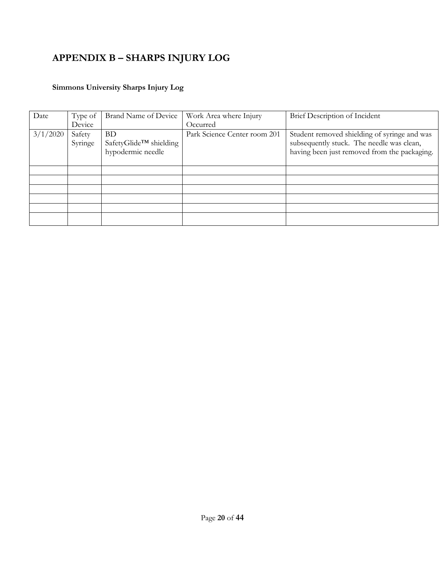# <span id="page-23-0"></span>**APPENDIX B – SHARPS INJURY LOG**

# **Simmons University Sharps Injury Log**

| Date     | Type of | Brand Name of Device   | Work Area where Injury       | Brief Description of Incident                |
|----------|---------|------------------------|------------------------------|----------------------------------------------|
|          | Device  |                        | Occurred                     |                                              |
| 3/1/2020 | Safety  | BD.                    | Park Science Center room 201 | Student removed shielding of syringe and was |
|          | Syringe | SafetyGlide™ shielding |                              | subsequently stuck. The needle was clean,    |
|          |         | hypodermic needle      |                              | having been just removed from the packaging. |
|          |         |                        |                              |                                              |
|          |         |                        |                              |                                              |
|          |         |                        |                              |                                              |
|          |         |                        |                              |                                              |
|          |         |                        |                              |                                              |
|          |         |                        |                              |                                              |
|          |         |                        |                              |                                              |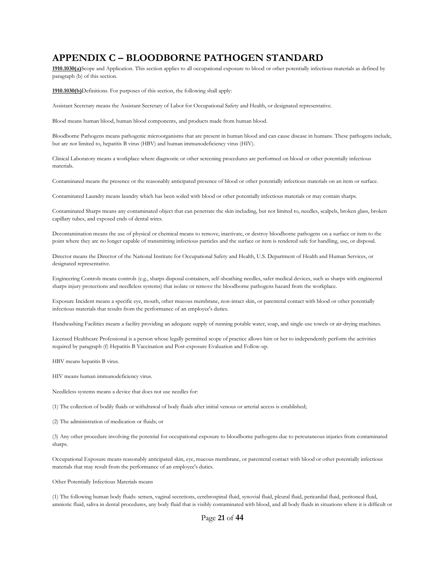# <span id="page-24-0"></span>**APPENDIX C – BLOODBORNE PATHOGEN STANDARD**

**[1910.1030\(a\)](https://www.osha.gov/pls/oshaweb/owalink.query_links?src_doc_type=STANDARDS&src_unique_file=1910_1030&src_anchor_name=1910.1030(a))**Scope and Application. This section applies to all occupational exposure to blood or other potentially infectious materials as defined by paragraph (b) of this section.

**[1910.1030\(b\)](https://www.osha.gov/pls/oshaweb/owalink.query_links?src_doc_type=STANDARDS&src_unique_file=1910_1030&src_anchor_name=1910.1030(b))**Definitions. For purposes of this section, the following shall apply:

Assistant Secretary means the Assistant Secretary of Labor for Occupational Safety and Health, or designated representative.

Blood means human blood, human blood components, and products made from human blood.

Bloodborne Pathogens means pathogenic microorganisms that are present in human blood and can cause disease in humans. These pathogens include, but are not limited to, hepatitis B virus (HBV) and human immunodeficiency virus (HIV).

Clinical Laboratory means a workplace where diagnostic or other screening procedures are performed on blood or other potentially infectious materials.

Contaminated means the presence or the reasonably anticipated presence of blood or other potentially infectious materials on an item or surface.

Contaminated Laundry means laundry which has been soiled with blood or other potentially infectious materials or may contain sharps.

Contaminated Sharps means any contaminated object that can penetrate the skin including, but not limited to, needles, scalpels, broken glass, broken capillary tubes, and exposed ends of dental wires.

Decontamination means the use of physical or chemical means to remove, inactivate, or destroy bloodborne pathogens on a surface or item to the point where they are no longer capable of transmitting infectious particles and the surface or item is rendered safe for handling, use, or disposal.

Director means the Director of the National Institute for Occupational Safety and Health, U.S. Department of Health and Human Services, or designated representative.

Engineering Controls means controls (e.g., sharps disposal containers, self-sheathing needles, safer medical devices, such as sharps with engineered sharps injury protections and needleless systems) that isolate or remove the bloodborne pathogens hazard from the workplace.

Exposure Incident means a specific eye, mouth, other mucous membrane, non-intact skin, or parenteral contact with blood or other potentially infectious materials that results from the performance of an employee's duties.

Handwashing Facilities means a facility providing an adequate supply of running potable water, soap, and single-use towels or air-drying machines.

Licensed Healthcare Professional is a person whose legally permitted scope of practice allows him or her to independently perform the activities required by paragraph (f) Hepatitis B Vaccination and Post-exposure Evaluation and Follow-up.

HBV means hepatitis B virus.

HIV means human immunodeficiency virus.

Needleless systems means a device that does not use needles for:

(1) The collection of bodily fluids or withdrawal of body fluids after initial venous or arterial access is established;

(2) The administration of medication or fluids; or

(3) Any other procedure involving the potential for occupational exposure to bloodborne pathogens due to percutaneous injuries from contaminated sharps.

Occupational Exposure means reasonably anticipated skin, eye, mucous membrane, or parenteral contact with blood or other potentially infectious materials that may result from the performance of an employee's duties.

Other Potentially Infectious Materials means

(1) The following human body fluids: semen, vaginal secretions, cerebrospinal fluid, synovial fluid, pleural fluid, pericardial fluid, peritoneal fluid, amniotic fluid, saliva in dental procedures, any body fluid that is visibly contaminated with blood, and all body fluids in situations where it is difficult or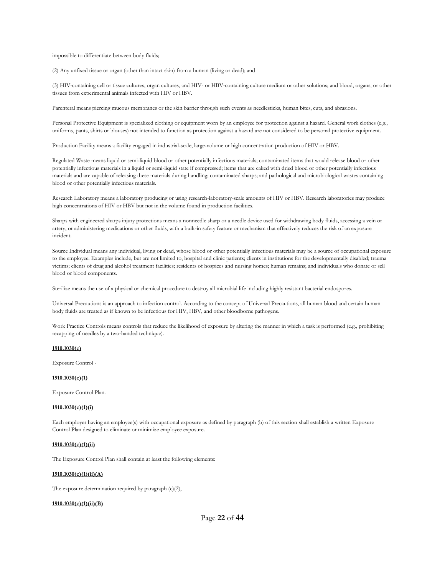#### impossible to differentiate between body fluids;

(2) Any unfixed tissue or organ (other than intact skin) from a human (living or dead); and

(3) HIV-containing cell or tissue cultures, organ cultures, and HIV- or HBV-containing culture medium or other solutions; and blood, organs, or other tissues from experimental animals infected with HIV or HBV.

Parenteral means piercing mucous membranes or the skin barrier through such events as needlesticks, human bites, cuts, and abrasions.

Personal Protective Equipment is specialized clothing or equipment worn by an employee for protection against a hazard. General work clothes (e.g., uniforms, pants, shirts or blouses) not intended to function as protection against a hazard are not considered to be personal protective equipment.

Production Facility means a facility engaged in industrial-scale, large-volume or high concentration production of HIV or HBV.

Regulated Waste means liquid or semi-liquid blood or other potentially infectious materials; contaminated items that would release blood or other potentially infectious materials in a liquid or semi-liquid state if compressed; items that are caked with dried blood or other potentially infectious materials and are capable of releasing these materials during handling; contaminated sharps; and pathological and microbiological wastes containing blood or other potentially infectious materials.

Research Laboratory means a laboratory producing or using research-laboratory-scale amounts of HIV or HBV. Research laboratories may produce high concentrations of HIV or HBV but not in the volume found in production facilities.

Sharps with engineered sharps injury protections means a nonneedle sharp or a needle device used for withdrawing body fluids, accessing a vein or artery, or administering medications or other fluids, with a built-in safety feature or mechanism that effectively reduces the risk of an exposure incident.

Source Individual means any individual, living or dead, whose blood or other potentially infectious materials may be a source of occupational exposure to the employee. Examples include, but are not limited to, hospital and clinic patients; clients in institutions for the developmentally disabled; trauma victims; clients of drug and alcohol treatment facilities; residents of hospices and nursing homes; human remains; and individuals who donate or sell blood or blood components.

Sterilize means the use of a physical or chemical procedure to destroy all microbial life including highly resistant bacterial endospores.

Universal Precautions is an approach to infection control. According to the concept of Universal Precautions, all human blood and certain human body fluids are treated as if known to be infectious for HIV, HBV, and other bloodborne pathogens.

Work Practice Controls means controls that reduce the likelihood of exposure by altering the manner in which a task is performed (e.g., prohibiting recapping of needles by a two-handed technique).

#### **[1910.1030\(c\)](https://www.osha.gov/pls/oshaweb/owalink.query_links?src_doc_type=STANDARDS&src_unique_file=1910_1030&src_anchor_name=1910.1030(c))**

Exposure Control -

#### **[1910.1030\(c\)\(1\)](https://www.osha.gov/pls/oshaweb/owalink.query_links?src_doc_type=STANDARDS&src_unique_file=1910_1030&src_anchor_name=1910.1030(c)(1))**

Exposure Control Plan.

#### **[1910.1030\(c\)\(1\)\(i\)](https://www.osha.gov/pls/oshaweb/owalink.query_links?src_doc_type=STANDARDS&src_unique_file=1910_1030&src_anchor_name=1910.1030(c)(1)(i))**

Each employer having an employee(s) with occupational exposure as defined by paragraph (b) of this section shall establish a written Exposure Control Plan designed to eliminate or minimize employee exposure.

#### **[1910.1030\(c\)\(1\)\(ii\)](https://www.osha.gov/pls/oshaweb/owalink.query_links?src_doc_type=STANDARDS&src_unique_file=1910_1030&src_anchor_name=1910.1030(c)(1)(ii))**

The Exposure Control Plan shall contain at least the following elements:

### **[1910.1030\(c\)\(1\)\(ii\)\(A\)](https://www.osha.gov/pls/oshaweb/owalink.query_links?src_doc_type=STANDARDS&src_unique_file=1910_1030&src_anchor_name=1910.1030(c)(1)(ii)(A))**

The exposure determination required by paragraph (c)(2),

#### **[1910.1030\(c\)\(1\)\(ii\)\(B\)](https://www.osha.gov/pls/oshaweb/owalink.query_links?src_doc_type=STANDARDS&src_unique_file=1910_1030&src_anchor_name=1910.1030(c)(1)(ii)(B))**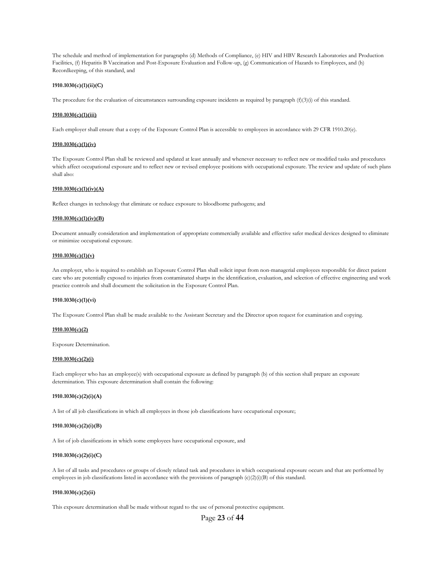The schedule and method of implementation for paragraphs (d) Methods of Compliance, (e) HIV and HBV Research Laboratories and Production Facilities, (f) Hepatitis B Vaccination and Post-Exposure Evaluation and Follow-up, (g) Communication of Hazards to Employees, and (h) Recordkeeping, of this standard, and

# **1910.1030(c)(1)(ii)(C)**

The procedure for the evaluation of circumstances surrounding exposure incidents as required by paragraph (f)(3)(i) of this standard.

#### **[1910.1030\(c\)\(1\)\(iii\)](https://www.osha.gov/pls/oshaweb/owalink.query_links?src_doc_type=STANDARDS&src_unique_file=1910_1030&src_anchor_name=1910.1030(c)(1)(iii))**

Each employer shall ensure that a copy of the Exposure Control Plan is accessible to employees in accordance with 29 CFR 1910.20(e).

# **[1910.1030\(c\)\(1\)\(iv\)](https://www.osha.gov/pls/oshaweb/owalink.query_links?src_doc_type=STANDARDS&src_unique_file=1910_1030&src_anchor_name=1910.1030(c)(1)(iv))**

The Exposure Control Plan shall be reviewed and updated at least annually and whenever necessary to reflect new or modified tasks and procedures which affect occupational exposure and to reflect new or revised employee positions with occupational exposure. The review and update of such plans shall also:

### **[1910.1030\(c\)\(1\)\(iv\)\(A\)](https://www.osha.gov/pls/oshaweb/owalink.query_links?src_doc_type=STANDARDS&src_unique_file=1910_1030&src_anchor_name=1910.1030(c)(1)(iv)(A))**

Reflect changes in technology that eliminate or reduce exposure to bloodborne pathogens; and

#### **[1910.1030\(c\)\(1\)\(iv\)\(B\)](https://www.osha.gov/pls/oshaweb/owalink.query_links?src_doc_type=STANDARDS&src_unique_file=1910_1030&src_anchor_name=1910.1030(c)(1)(iv)(B))**

Document annually consideration and implementation of appropriate commercially available and effective safer medical devices designed to eliminate or minimize occupational exposure.

### **[1910.1030\(c\)\(1\)\(v\)](https://www.osha.gov/pls/oshaweb/owalink.query_links?src_doc_type=STANDARDS&src_unique_file=1910_1030&src_anchor_name=1910.1030(c)(1)(v))**

An employer, who is required to establish an Exposure Control Plan shall solicit input from non-managerial employees responsible for direct patient care who are potentially exposed to injuries from contaminated sharps in the identification, evaluation, and selection of effective engineering and work practice controls and shall document the solicitation in the Exposure Control Plan.

#### **1910.1030(c)(1)(vi)**

The Exposure Control Plan shall be made available to the Assistant Secretary and the Director upon request for examination and copying.

#### **[1910.1030\(c\)\(2\)](https://www.osha.gov/pls/oshaweb/owalink.query_links?src_doc_type=STANDARDS&src_unique_file=1910_1030&src_anchor_name=1910.1030(c)(2))**

Exposure Determination.

#### **[1910.1030\(c\)\(2\)\(i\)](https://www.osha.gov/pls/oshaweb/owalink.query_links?src_doc_type=STANDARDS&src_unique_file=1910_1030&src_anchor_name=1910.1030(c)(2)(i))**

Each employer who has an employee(s) with occupational exposure as defined by paragraph (b) of this section shall prepare an exposure determination. This exposure determination shall contain the following:

#### **1910.1030(c)(2)(i)(A)**

A list of all job classifications in which all employees in those job classifications have occupational exposure;

#### **1910.1030(c)(2)(i)(B)**

A list of job classifications in which some employees have occupational exposure, and

#### **1910.1030(c)(2)(i)(C)**

A list of all tasks and procedures or groups of closely related task and procedures in which occupational exposure occurs and that are performed by employees in job classifications listed in accordance with the provisions of paragraph (c)(2)(i)(B) of this standard.

#### **1910.1030(c)(2)(ii)**

This exposure determination shall be made without regard to the use of personal protective equipment.

Page **23** of **44**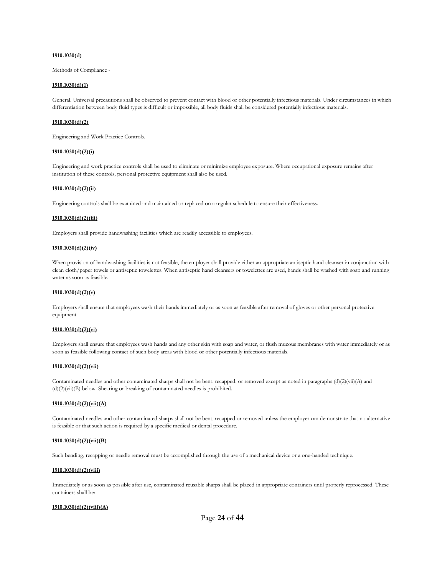#### **1910.1030(d)**

Methods of Compliance -

### **[1910.1030\(d\)\(1\)](https://www.osha.gov/pls/oshaweb/owalink.query_links?src_doc_type=STANDARDS&src_unique_file=1910_1030&src_anchor_name=1910.1030(d)(1))**

General. Universal precautions shall be observed to prevent contact with blood or other potentially infectious materials. Under circumstances in which differentiation between body fluid types is difficult or impossible, all body fluids shall be considered potentially infectious materials.

#### **[1910.1030\(d\)\(2\)](https://www.osha.gov/pls/oshaweb/owalink.query_links?src_doc_type=STANDARDS&src_unique_file=1910_1030&src_anchor_name=1910.1030(d)(2))**

Engineering and Work Practice Controls.

#### **[1910.1030\(d\)\(2\)\(i\)](https://www.osha.gov/pls/oshaweb/owalink.query_links?src_doc_type=STANDARDS&src_unique_file=1910_1030&src_anchor_name=1910.1030(d)(2)(i))**

Engineering and work practice controls shall be used to eliminate or minimize employee exposure. Where occupational exposure remains after institution of these controls, personal protective equipment shall also be used.

#### **1910.1030(d)(2)(ii)**

Engineering controls shall be examined and maintained or replaced on a regular schedule to ensure their effectiveness.

#### **[1910.1030\(d\)\(2\)\(iii\)](https://www.osha.gov/pls/oshaweb/owalink.query_links?src_doc_type=STANDARDS&src_unique_file=1910_1030&src_anchor_name=1910.1030(d)(2)(iii))**

Employers shall provide handwashing facilities which are readily accessible to employees.

#### **1910.1030(d)(2)(iv)**

When provision of handwashing facilities is not feasible, the employer shall provide either an appropriate antiseptic hand cleanser in conjunction with clean cloth/paper towels or antiseptic towelettes. When antiseptic hand cleansers or towelettes are used, hands shall be washed with soap and running water as soon as feasible.

#### **[1910.1030\(d\)\(2\)\(v\)](https://www.osha.gov/pls/oshaweb/owalink.query_links?src_doc_type=STANDARDS&src_unique_file=1910_1030&src_anchor_name=1910.1030(d)(2)(v))**

Employers shall ensure that employees wash their hands immediately or as soon as feasible after removal of gloves or other personal protective equipment.

#### **[1910.1030\(d\)\(2\)\(vi\)](https://www.osha.gov/pls/oshaweb/owalink.query_links?src_doc_type=STANDARDS&src_unique_file=1910_1030&src_anchor_name=1910.1030(d)(2)(vi))**

Employers shall ensure that employees wash hands and any other skin with soap and water, or flush mucous membranes with water immediately or as soon as feasible following contact of such body areas with blood or other potentially infectious materials.

#### **[1910.1030\(d\)\(2\)\(vii\)](https://www.osha.gov/pls/oshaweb/owalink.query_links?src_doc_type=STANDARDS&src_unique_file=1910_1030&src_anchor_name=1910.1030(d)(2)(vii))**

Contaminated needles and other contaminated sharps shall not be bent, recapped, or removed except as noted in paragraphs (d)(2)(vii)(A) and (d)(2)(vii)(B) below. Shearing or breaking of contaminated needles is prohibited.

### **[1910.1030\(d\)\(2\)\(vii\)\(A\)](https://www.osha.gov/pls/oshaweb/owalink.query_links?src_doc_type=STANDARDS&src_unique_file=1910_1030&src_anchor_name=1910.1030(d)(2)(vii)(A))**

Contaminated needles and other contaminated sharps shall not be bent, recapped or removed unless the employer can demonstrate that no alternative is feasible or that such action is required by a specific medical or dental procedure.

#### **[1910.1030\(d\)\(2\)\(vii\)\(B\)](https://www.osha.gov/pls/oshaweb/owalink.query_links?src_doc_type=STANDARDS&src_unique_file=1910_1030&src_anchor_name=1910.1030(d)(2)(vii)(B))**

Such bending, recapping or needle removal must be accomplished through the use of a mechanical device or a one-handed technique.

#### **[1910.1030\(d\)\(2\)\(viii\)](https://www.osha.gov/pls/oshaweb/owalink.query_links?src_doc_type=STANDARDS&src_unique_file=1910_1030&src_anchor_name=1910.1030(d)(2)(viii))**

Immediately or as soon as possible after use, contaminated reusable sharps shall be placed in appropriate containers until properly reprocessed. These containers shall be:

#### **[1910.1030\(d\)\(2\)\(viii\)\(A\)](https://www.osha.gov/pls/oshaweb/owalink.query_links?src_doc_type=STANDARDS&src_unique_file=1910_1030&src_anchor_name=1910.1030(d)(2)(viii)(A))**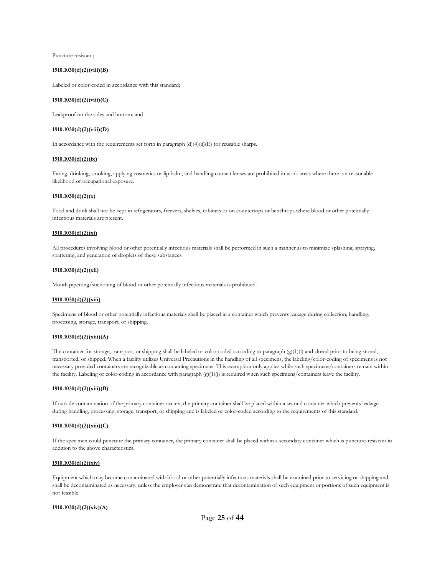Puncture resistant;

### **1910.1030(d)(2)(viii)(B)**

Labeled or color-coded in accordance with this standard;

#### **1910.1030(d)(2)(viii)(C)**

Leakproof on the sides and bottom; and

#### **1910.1030(d)(2)(viii)(D)**

In accordance with the requirements set forth in paragraph  $(d)(4)(ii)(E)$  for reusable sharps.

### **[1910.1030\(d\)\(2\)\(ix\)](https://www.osha.gov/pls/oshaweb/owalink.query_links?src_doc_type=STANDARDS&src_unique_file=1910_1030&src_anchor_name=1910.1030(d)(2)(ix))**

Eating, drinking, smoking, applying cosmetics or lip balm, and handling contact lenses are prohibited in work areas where there is a reasonable likelihood of occupational exposure.

#### **1910.1030(d)(2)(x)**

Food and drink shall not be kept in refrigerators, freezers, shelves, cabinets or on countertops or benchtops where blood or other potentially infectious materials are present.

#### **[1910.1030\(d\)\(2\)\(xi\)](https://www.osha.gov/pls/oshaweb/owalink.query_links?src_doc_type=STANDARDS&src_unique_file=1910_1030&src_anchor_name=1910.1030(d)(2)(xi))**

All procedures involving blood or other potentially infectious materials shall be performed in such a manner as to minimize splashing, spraying, spattering, and generation of droplets of these substances.

#### **1910.1030(d)(2)(xii)**

Mouth pipetting/suctioning of blood or other potentially infectious materials is prohibited.

### **[1910.1030\(d\)\(2\)\(xiii\)](https://www.osha.gov/pls/oshaweb/owalink.query_links?src_doc_type=STANDARDS&src_unique_file=1910_1030&src_anchor_name=1910.1030(d)(2)(xiii))**

Specimens of blood or other potentially infectious materials shall be placed in a container which prevents leakage during collection, handling, processing, storage, transport, or shipping.

#### **1910.1030(d)(2)(xiii)(A)**

The container for storage, transport, or shipping shall be labeled or color-coded according to paragraph (g)(1)(i) and closed prior to being stored, transported, or shipped. When a facility utilizes Universal Precautions in the handling of all specimens, the labeling/color-coding of specimens is not necessary provided containers are recognizable as containing specimens. This exemption only applies while such specimens/containers remain within the facility. Labeling or color-coding in accordance with paragraph (g)(1)(i) is required when such specimens/containers leave the facility.

#### **1910.1030(d)(2)(xiii)(B)**

If outside contamination of the primary container occurs, the primary container shall be placed within a second container which prevents leakage during handling, processing, storage, transport, or shipping and is labeled or color-coded according to the requirements of this standard.

#### **1910.1030(d)(2)(xiii)(C)**

If the specimen could puncture the primary container, the primary container shall be placed within a secondary container which is puncture-resistant in addition to the above characteristics.

#### **[1910.1030\(d\)\(2\)\(xiv\)](https://www.osha.gov/pls/oshaweb/owalink.query_links?src_doc_type=STANDARDS&src_unique_file=1910_1030&src_anchor_name=1910.1030(d)(2)(xiv))**

Equipment which may become contaminated with blood or other potentially infectious materials shall be examined prior to servicing or shipping and shall be decontaminated as necessary, unless the employer can demonstrate that decontamination of such equipment or portions of such equipment is not feasible.

### **1910.1030(d)(2)(xiv)(A)**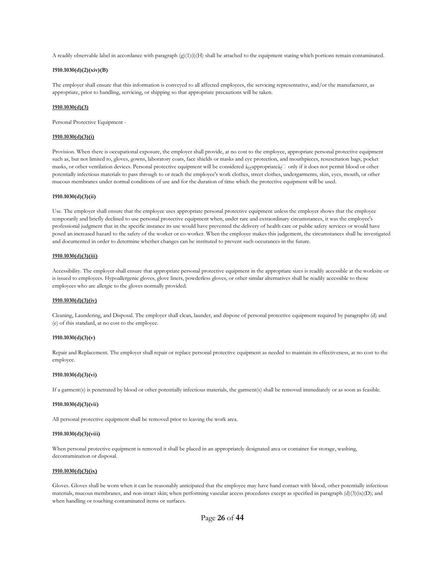A readily observable label in accordance with paragraph (g)(1)(i)(H) shall be attached to the equipment stating which portions remain contaminated.

# **1910.1030(d)(2)(xiv)(B)**

The employer shall ensure that this information is conveyed to all affected employees, the servicing representative, and/or the manufacturer, as appropriate, prior to handling, servicing, or shipping so that appropriate precautions will be taken.

#### **[1910.1030\(d\)\(3\)](https://www.osha.gov/pls/oshaweb/owalink.query_links?src_doc_type=STANDARDS&src_unique_file=1910_1030&src_anchor_name=1910.1030(d)(3))**

Personal Protective Equipment -

#### **[1910.1030\(d\)\(3\)\(i\)](https://www.osha.gov/pls/oshaweb/owalink.query_links?src_doc_type=STANDARDS&src_unique_file=1910_1030&src_anchor_name=1910.1030(d)(3)(i))**

Provision. When there is occupational exposure, the employer shall provide, at no cost to the employee, appropriate personal protective equipment such as, but not limited to, gloves, gowns, laboratory coats, face shields or masks and eye protection, and mouthpieces, resuscitation bags, pocket masks, or other ventilation devices. Personal protective equipment will be considered â¿¿appropriateâ¿• only if it does not permit blood or other potentially infectious materials to pass through to or reach the employee's work clothes, street clothes, undergarments, skin, eyes, mouth, or other mucous membranes under normal conditions of use and for the duration of time which the protective equipment will be used.

#### **1910.1030(d)(3)(ii)**

Use. The employer shall ensure that the employee uses appropriate personal protective equipment unless the employer shows that the employee temporarily and briefly declined to use personal protective equipment when, under rare and extraordinary circumstances, it was the employee's professional judgment that in the specific instance its use would have prevented the delivery of health care or public safety services or would have posed an increased hazard to the safety of the worker or co-worker. When the employee makes this judgement, the circumstances shall be investigated and documented in order to determine whether changes can be instituted to prevent such occurances in the future.

#### **[1910.1030\(d\)\(3\)\(iii\)](https://www.osha.gov/pls/oshaweb/owalink.query_links?src_doc_type=STANDARDS&src_unique_file=1910_1030&src_anchor_name=1910.1030(d)(3)(iii))**

Accessibility. The employer shall ensure that appropriate personal protective equipment in the appropriate sizes is readily accessible at the worksite or is issued to employees. Hypoallergenic gloves, glove liners, powderless gloves, or other similar alternatives shall be readily accessible to those employees who are allergic to the gloves normally provided.

#### **[1910.1030\(d\)\(3\)\(iv\)](https://www.osha.gov/pls/oshaweb/owalink.query_links?src_doc_type=STANDARDS&src_unique_file=1910_1030&src_anchor_name=1910.1030(d)(3)(iv))**

Cleaning, Laundering, and Disposal. The employer shall clean, launder, and dispose of personal protective equipment required by paragraphs (d) and (e) of this standard, at no cost to the employee.

#### **1910.1030(d)(3)(v)**

Repair and Replacement. The employer shall repair or replace personal protective equipment as needed to maintain its effectiveness, at no cost to the employee.

### **1910.1030(d)(3)(vi)**

If a garment(s) is penetrated by blood or other potentially infectious materials, the garment(s) shall be removed immediately or as soon as feasible.

#### **1910.1030(d)(3)(vii)**

All personal protective equipment shall be removed prior to leaving the work area.

#### **1910.1030(d)(3)(viii)**

When personal protective equipment is removed it shall be placed in an appropriately designated area or container for storage, washing, decontamination or disposal.

### **[1910.1030\(d\)\(3\)\(ix\)](https://www.osha.gov/pls/oshaweb/owalink.query_links?src_doc_type=STANDARDS&src_unique_file=1910_1030&src_anchor_name=1910.1030(d)(3)(ix))**

Gloves. Gloves shall be worn when it can be reasonably anticipated that the employee may have hand contact with blood, other potentially infectious materials, mucous membranes, and non-intact skin; when performing vascular access procedures except as specified in paragraph (d)(3)(ix)(D); and when handling or touching contaminated items or surfaces.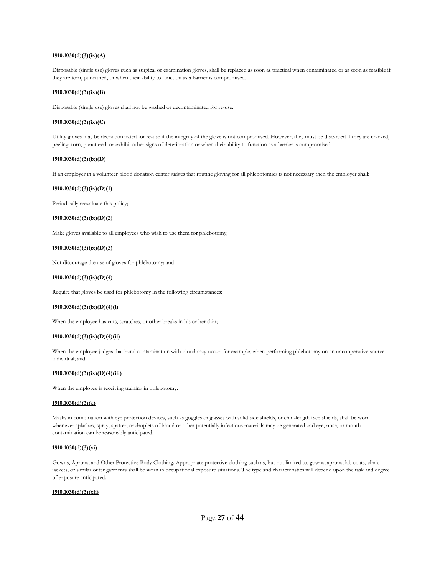### **1910.1030(d)(3)(ix)(A)**

Disposable (single use) gloves such as surgical or examination gloves, shall be replaced as soon as practical when contaminated or as soon as feasible if they are torn, punctured, or when their ability to function as a barrier is compromised.

#### **1910.1030(d)(3)(ix)(B)**

Disposable (single use) gloves shall not be washed or decontaminated for re-use.

#### **1910.1030(d)(3)(ix)(C)**

Utility gloves may be decontaminated for re-use if the integrity of the glove is not compromised. However, they must be discarded if they are cracked, peeling, torn, punctured, or exhibit other signs of deterioration or when their ability to function as a barrier is compromised.

# **1910.1030(d)(3)(ix)(D)**

If an employer in a volunteer blood donation center judges that routine gloving for all phlebotomies is not necessary then the employer shall:

#### **1910.1030(d)(3)(ix)(D)(1)**

Periodically reevaluate this policy;

#### **1910.1030(d)(3)(ix)(D)(2)**

Make gloves available to all employees who wish to use them for phlebotomy;

#### **1910.1030(d)(3)(ix)(D)(3)**

Not discourage the use of gloves for phlebotomy; and

#### **1910.1030(d)(3)(ix)(D)(4)**

Require that gloves be used for phlebotomy in the following circumstances:

#### **1910.1030(d)(3)(ix)(D)(4)(i)**

When the employee has cuts, scratches, or other breaks in his or her skin;

#### **1910.1030(d)(3)(ix)(D)(4)(ii)**

When the employee judges that hand contamination with blood may occur, for example, when performing phlebotomy on an uncooperative source individual; and

#### **1910.1030(d)(3)(ix)(D)(4)(iii)**

When the employee is receiving training in phlebotomy.

#### **[1910.1030\(d\)\(3\)\(x\)](https://www.osha.gov/pls/oshaweb/owalink.query_links?src_doc_type=STANDARDS&src_unique_file=1910_1030&src_anchor_name=1910.1030(d)(3)(x))**

Masks in combination with eye protection devices, such as goggles or glasses with solid side shields, or chin-length face shields, shall be worn whenever splashes, spray, spatter, or droplets of blood or other potentially infectious materials may be generated and eye, nose, or mouth contamination can be reasonably anticipated.

# **1910.1030(d)(3)(xi)**

Gowns, Aprons, and Other Protective Body Clothing. Appropriate protective clothing such as, but not limited to, gowns, aprons, lab coats, clinic jackets, or similar outer garments shall be worn in occupational exposure situations. The type and characteristics will depend upon the task and degree of exposure anticipated.

#### **[1910.1030\(d\)\(3\)\(xii\)](https://www.osha.gov/pls/oshaweb/owalink.query_links?src_doc_type=STANDARDS&src_unique_file=1910_1030&src_anchor_name=1910.1030(d)(3)(xii))**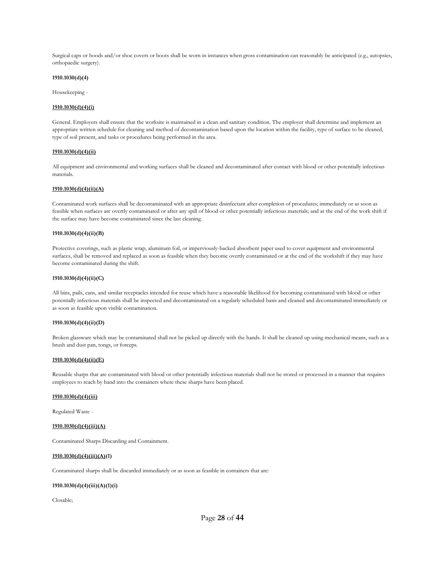Surgical caps or hoods and/or shoe covers or boots shall be worn in instances when gross contamination can reasonably be anticipated (e.g., autopsies, orthopaedic surgery).

# **1910.1030(d)(4)**

Housekeeping -

#### **[1910.1030\(d\)\(4\)\(i\)](https://www.osha.gov/pls/oshaweb/owalink.query_links?src_doc_type=STANDARDS&src_unique_file=1910_1030&src_anchor_name=1910.1030(d)(4)(i))**

General. Employers shall ensure that the worksite is maintained in a clean and sanitary condition. The employer shall determine and implement an appropriate written schedule for cleaning and method of decontamination based upon the location within the facility, type of surface to be cleaned, type of soil present, and tasks or procedures being performed in the area.

#### **[1910.1030\(d\)\(4\)\(ii\)](https://www.osha.gov/pls/oshaweb/owalink.query_links?src_doc_type=STANDARDS&src_unique_file=1910_1030&src_anchor_name=1910.1030(d)(4)(ii))**

All equipment and environmental and working surfaces shall be cleaned and decontaminated after contact with blood or other potentially infectious materials.

# **[1910.1030\(d\)\(4\)\(ii\)\(A\)](https://www.osha.gov/pls/oshaweb/owalink.query_links?src_doc_type=STANDARDS&src_unique_file=1910_1030&src_anchor_name=1910.1030(d)(4)(ii)(A))**

Contaminated work surfaces shall be decontaminated with an appropriate disinfectant after completion of procedures; immediately or as soon as feasible when surfaces are overtly contaminated or after any spill of blood or other potentially infectious materials; and at the end of the work shift if the surface may have become contaminated since the last cleaning.

#### **1910.1030(d)(4)(ii)(B)**

Protective coverings, such as plastic wrap, aluminum foil, or imperviously-backed absorbent paper used to cover equipment and environmental surfaces, shall be removed and replaced as soon as feasible when they become overtly contaminated or at the end of the workshift if they may have become contaminated during the shift.

#### **1910.1030(d)(4)(ii)(C)**

All bins, pails, cans, and similar receptacles intended for reuse which have a reasonable likelihood for becoming contaminated with blood or other potentially infectious materials shall be inspected and decontaminated on a regularly scheduled basis and cleaned and decontaminated immediately or as soon as feasible upon visible contamination.

### **1910.1030(d)(4)(ii)(D)**

Broken glassware which may be contaminated shall not be picked up directly with the hands. It shall be cleaned up using mechanical means, such as a brush and dust pan, tongs, or forceps.

#### **[1910.1030\(d\)\(4\)\(ii\)\(E\)](https://www.osha.gov/pls/oshaweb/owalink.query_links?src_doc_type=STANDARDS&src_unique_file=1910_1030&src_anchor_name=1910.1030(d)(4)(ii)(E))**

Reusable sharps that are contaminated with blood or other potentially infectious materials shall not be stored or processed in a manner that requires employees to reach by hand into the containers where these sharps have been placed.

#### **[1910.1030\(d\)\(4\)\(iii\)](https://www.osha.gov/pls/oshaweb/owalink.query_links?src_doc_type=STANDARDS&src_unique_file=1910_1030&src_anchor_name=1910.1030(d)(4)(iii))**

Regulated Waste -

### **[1910.1030\(d\)\(4\)\(iii\)\(A\)](https://www.osha.gov/pls/oshaweb/owalink.query_links?src_doc_type=STANDARDS&src_unique_file=1910_1030&src_anchor_name=1910.1030(d)(4)(iii)(A))**

Contaminated Sharps Discarding and Containment.

#### **[1910.1030\(d\)\(4\)\(iii\)\(A\)\(1\)](https://www.osha.gov/pls/oshaweb/owalink.query_links?src_doc_type=STANDARDS&src_unique_file=1910_1030&src_anchor_name=1910.1030(d)(4)(iii)(A)(1))**

Contaminated sharps shall be discarded immediately or as soon as feasible in containers that are:

# **1910.1030(d)(4)(iii)(A)(1)(i)**

Closable;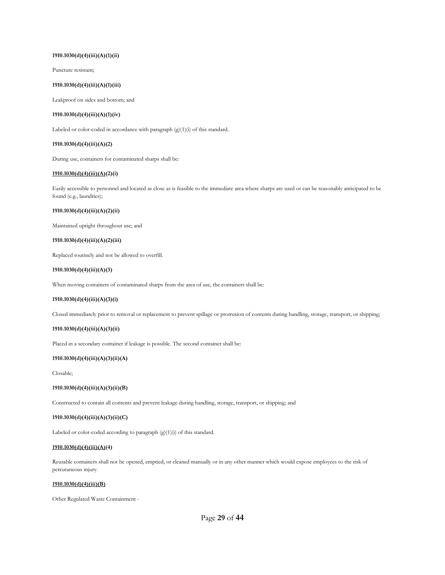### **1910.1030(d)(4)(iii)(A)(1)(ii)**

Puncture resistant;

# **1910.1030(d)(4)(iii)(A)(1)(iii)**

Leakproof on sides and bottom; and

# **1910.1030(d)(4)(iii)(A)(1)(iv)**

Labeled or color-coded in accordance with paragraph (g)(1)(i) of this standard.

# **1910.1030(d)(4)(iii)(A)(2)**

During use, containers for contaminated sharps shall be:

#### **[1910.1030\(d\)\(4\)\(iii\)\(A\)\(2\)\(i\)](https://www.osha.gov/pls/oshaweb/owalink.query_links?src_doc_type=STANDARDS&src_unique_file=1910_1030&src_anchor_name=1910.1030(d)(4)(iii)(A)(2)(i))**

Easily accessible to personnel and located as close as is feasible to the immediate area where sharps are used or can be reasonably anticipated to be found (e.g., laundries);

### **1910.1030(d)(4)(iii)(A)(2)(ii)**

Maintained upright throughout use; and

### **1910.1030(d)(4)(iii)(A)(2)(iii)**

Replaced routinely and not be allowed to overfill.

#### **1910.1030(d)(4)(iii)(A)(3)**

When moving containers of contaminated sharps from the area of use, the containers shall be:

### **1910.1030(d)(4)(iii)(A)(3)(i)**

Closed immediately prior to removal or replacement to prevent spillage or protrusion of contents during handling, storage, transport, or shipping;

### **1910.1030(d)(4)(iii)(A)(3)(ii)**

Placed in a secondary container if leakage is possible. The second container shall be:

# **1910.1030(d)(4)(iii)(A)(3)(ii)(A)**

Closable;

# **1910.1030(d)(4)(iii)(A)(3)(ii)(B)**

Constructed to contain all contents and prevent leakage during handling, storage, transport, or shipping; and

# **1910.1030(d)(4)(iii)(A)(3)(ii)(C)**

Labeled or color-coded according to paragraph (g)(1)(i) of this standard.

# **[1910.1030\(d\)\(4\)\(iii\)\(A\)\(4\)](https://www.osha.gov/pls/oshaweb/owalink.query_links?src_doc_type=STANDARDS&src_unique_file=1910_1030&src_anchor_name=1910.1030(d)(4)(iii)(A)(4))**

Reusable containers shall not be opened, emptied, or cleaned manually or in any other manner which would expose employees to the risk of percutaneous injury.

#### **[1910.1030\(d\)\(4\)\(iii\)\(B\)](https://www.osha.gov/pls/oshaweb/owalink.query_links?src_doc_type=STANDARDS&src_unique_file=1910_1030&src_anchor_name=1910.1030(d)(4)(iii)(B))**

Other Regulated Waste Containment -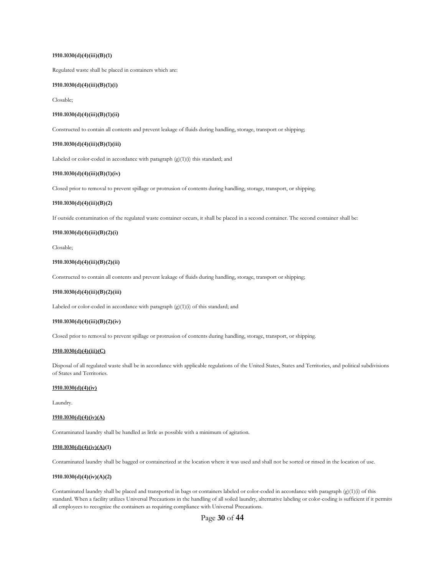#### **1910.1030(d)(4)(iii)(B)(1)**

Regulated waste shall be placed in containers which are:

### **1910.1030(d)(4)(iii)(B)(1)(i)**

Closable;

#### **1910.1030(d)(4)(iii)(B)(1)(ii)**

Constructed to contain all contents and prevent leakage of fluids during handling, storage, transport or shipping;

# **1910.1030(d)(4)(iii)(B)(1)(iii)**

Labeled or color-coded in accordance with paragraph  $(g)(1)(i)$  this standard; and

#### **1910.1030(d)(4)(iii)(B)(1)(iv)**

Closed prior to removal to prevent spillage or protrusion of contents during handling, storage, transport, or shipping.

# **1910.1030(d)(4)(iii)(B)(2)**

If outside contamination of the regulated waste container occurs, it shall be placed in a second container. The second container shall be:

#### **1910.1030(d)(4)(iii)(B)(2)(i)**

Closable;

### **1910.1030(d)(4)(iii)(B)(2)(ii)**

Constructed to contain all contents and prevent leakage of fluids during handling, storage, transport or shipping;

### **1910.1030(d)(4)(iii)(B)(2)(iii)**

Labeled or color-coded in accordance with paragraph  $(g)(1)(i)$  of this standard; and

#### **1910.1030(d)(4)(iii)(B)(2)(iv)**

Closed prior to removal to prevent spillage or protrusion of contents during handling, storage, transport, or shipping.

# **[1910.1030\(d\)\(4\)\(iii\)\(C\)](https://www.osha.gov/pls/oshaweb/owalink.query_links?src_doc_type=STANDARDS&src_unique_file=1910_1030&src_anchor_name=1910.1030(d)(4)(iii)(C))**

Disposal of all regulated waste shall be in accordance with applicable regulations of the United States, States and Territories, and political subdivisions of States and Territories.

# **[1910.1030\(d\)\(4\)\(iv\)](https://www.osha.gov/pls/oshaweb/owalink.query_links?src_doc_type=STANDARDS&src_unique_file=1910_1030&src_anchor_name=1910.1030(d)(4)(iv))**

Laundry.

#### **[1910.1030\(d\)\(4\)\(iv\)\(A\)](https://www.osha.gov/pls/oshaweb/owalink.query_links?src_doc_type=STANDARDS&src_unique_file=1910_1030&src_anchor_name=1910.1030(d)(4)(iv)(A))**

Contaminated laundry shall be handled as little as possible with a minimum of agitation.

### **[1910.1030\(d\)\(4\)\(iv\)\(A\)\(1\)](https://www.osha.gov/pls/oshaweb/owalink.query_links?src_doc_type=STANDARDS&src_unique_file=1910_1030&src_anchor_name=1910.1030(d)(4)(iv)(A)(1))**

Contaminated laundry shall be bagged or containerized at the location where it was used and shall not be sorted or rinsed in the location of use.

#### **1910.1030(d)(4)(iv)(A)(2)**

Contaminated laundry shall be placed and transported in bags or containers labeled or color-coded in accordance with paragraph (g)(1)(i) of this standard. When a facility utilizes Universal Precautions in the handling of all soiled laundry, alternative labeling or color-coding is sufficient if it permits all employees to recognize the containers as requiring compliance with Universal Precautions.

# Page **30** of **44**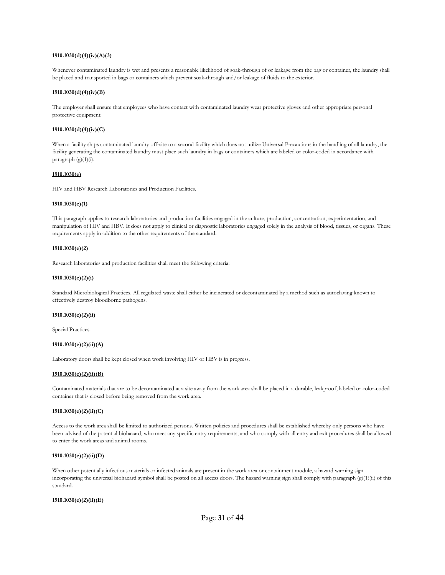### **1910.1030(d)(4)(iv)(A)(3)**

Whenever contaminated laundry is wet and presents a reasonable likelihood of soak-through of or leakage from the bag or container, the laundry shall be placed and transported in bags or containers which prevent soak-through and/or leakage of fluids to the exterior.

#### **1910.1030(d)(4)(iv)(B)**

The employer shall ensure that employees who have contact with contaminated laundry wear protective gloves and other appropriate personal protective equipment.

#### **[1910.1030\(d\)\(4\)\(iv\)\(C\)](https://www.osha.gov/pls/oshaweb/owalink.query_links?src_doc_type=STANDARDS&src_unique_file=1910_1030&src_anchor_name=1910.1030(d)(4)(iv)(C))**

When a facility ships contaminated laundry off-site to a second facility which does not utilize Universal Precautions in the handling of all laundry, the facility generating the contaminated laundry must place such laundry in bags or containers which are labeled or color-coded in accordance with paragraph (g)(1)(i).

#### **[1910.1030\(e\)](https://www.osha.gov/pls/oshaweb/owalink.query_links?src_doc_type=STANDARDS&src_unique_file=1910_1030&src_anchor_name=1910.1030(e))**

HIV and HBV Research Laboratories and Production Facilities.

#### **1910.1030(e)(1)**

This paragraph applies to research laboratories and production facilities engaged in the culture, production, concentration, experimentation, and manipulation of HIV and HBV. It does not apply to clinical or diagnostic laboratories engaged solely in the analysis of blood, tissues, or organs. These requirements apply in addition to the other requirements of the standard.

### **1910.1030(e)(2)**

Research laboratories and production facilities shall meet the following criteria:

#### **1910.1030(e)(2)(i)**

Standard Microbiological Practices. All regulated waste shall either be incinerated or decontaminated by a method such as autoclaving known to effectively destroy bloodborne pathogens.

### **1910.1030(e)(2)(ii)**

Special Practices.

#### **1910.1030(e)(2)(ii)(A)**

Laboratory doors shall be kept closed when work involving HIV or HBV is in progress.

#### **[1910.1030\(e\)\(2\)\(ii\)\(B\)](https://www.osha.gov/pls/oshaweb/owalink.query_links?src_doc_type=STANDARDS&src_unique_file=1910_1030&src_anchor_name=1910.1030(e)(2)(ii)(B))**

Contaminated materials that are to be decontaminated at a site away from the work area shall be placed in a durable, leakproof, labeled or color-coded container that is closed before being removed from the work area.

### **1910.1030(e)(2)(ii)(C)**

Access to the work area shall be limited to authorized persons. Written policies and procedures shall be established whereby only persons who have been advised of the potential biohazard, who meet any specific entry requirements, and who comply with all entry and exit procedures shall be allowed to enter the work areas and animal rooms.

# **1910.1030(e)(2)(ii)(D)**

When other potentially infectious materials or infected animals are present in the work area or containment module, a hazard warning sign incorporating the universal biohazard symbol shall be posted on all access doors. The hazard warning sign shall comply with paragraph (g)(1)(ii) of this standard.

#### **1910.1030(e)(2)(ii)(E)**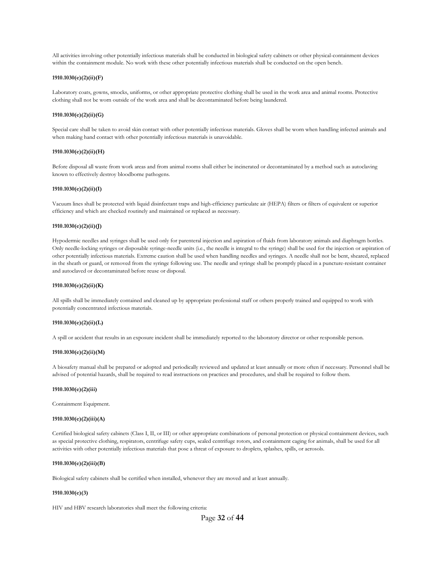All activities involving other potentially infectious materials shall be conducted in biological safety cabinets or other physical-containment devices within the containment module. No work with these other potentially infectious materials shall be conducted on the open bench.

#### **1910.1030(e)(2)(ii)(F)**

Laboratory coats, gowns, smocks, uniforms, or other appropriate protective clothing shall be used in the work area and animal rooms. Protective clothing shall not be worn outside of the work area and shall be decontaminated before being laundered.

#### **1910.1030(e)(2)(ii)(G)**

Special care shall be taken to avoid skin contact with other potentially infectious materials. Gloves shall be worn when handling infected animals and when making hand contact with other potentially infectious materials is unavoidable.

### **1910.1030(e)(2)(ii)(H)**

Before disposal all waste from work areas and from animal rooms shall either be incinerated or decontaminated by a method such as autoclaving known to effectively destroy bloodborne pathogens.

#### **1910.1030(e)(2)(ii)(I)**

Vacuum lines shall be protected with liquid disinfectant traps and high-efficiency particulate air (HEPA) filters or filters of equivalent or superior efficiency and which are checked routinely and maintained or replaced as necessary.

#### **1910.1030(e)(2)(ii)(J)**

Hypodermic needles and syringes shall be used only for parenteral injection and aspiration of fluids from laboratory animals and diaphragm bottles. Only needle-locking syringes or disposable syringe-needle units (i.e., the needle is integral to the syringe) shall be used for the injection or aspiration of other potentially infectious materials. Extreme caution shall be used when handling needles and syringes. A needle shall not be bent, sheared, replaced in the sheath or guard, or removed from the syringe following use. The needle and syringe shall be promptly placed in a puncture-resistant container and autoclaved or decontaminated before reuse or disposal.

#### **1910.1030(e)(2)(ii)(K)**

All spills shall be immediately contained and cleaned up by appropriate professional staff or others properly trained and equipped to work with potentially concentrated infectious materials.

# **1910.1030(e)(2)(ii)(L)**

A spill or accident that results in an exposure incident shall be immediately reported to the laboratory director or other responsible person.

#### **1910.1030(e)(2)(ii)(M)**

A biosafety manual shall be prepared or adopted and periodically reviewed and updated at least annually or more often if necessary. Personnel shall be advised of potential hazards, shall be required to read instructions on practices and procedures, and shall be required to follow them.

#### **1910.1030(e)(2)(iii)**

Containment Equipment.

#### **1910.1030(e)(2)(iii)(A)**

Certified biological safety cabinets (Class I, II, or III) or other appropriate combinations of personal protection or physical containment devices, such as special protective clothing, respirators, centrifuge safety cups, sealed centrifuge rotors, and containment caging for animals, shall be used for all activities with other potentially infectious materials that pose a threat of exposure to droplets, splashes, spills, or aerosols.

#### **1910.1030(e)(2)(iii)(B)**

Biological safety cabinets shall be certified when installed, whenever they are moved and at least annually.

#### **1910.1030(e)(3)**

HIV and HBV research laboratories shall meet the following criteria: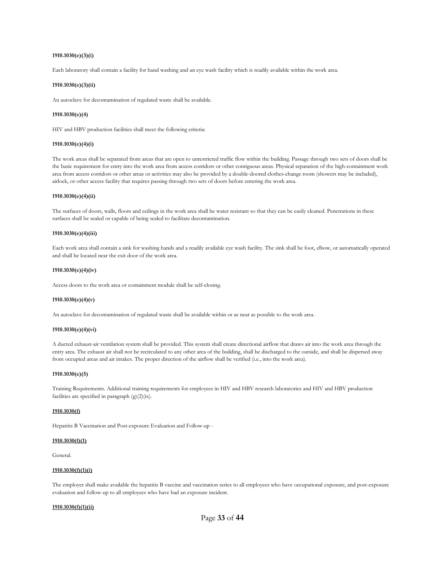#### **1910.1030(e)(3)(i)**

Each laboratory shall contain a facility for hand washing and an eye wash facility which is readily available within the work area.

### **1910.1030(e)(3)(ii)**

An autoclave for decontamination of regulated waste shall be available.

#### **1910.1030(e)(4)**

HIV and HBV production facilities shall meet the following criteria:

### **1910.1030(e)(4)(i)**

The work areas shall be separated from areas that are open to unrestricted traffic flow within the building. Passage through two sets of doors shall be the basic requirement for entry into the work area from access corridors or other contiguous areas. Physical separation of the high-containment work area from access corridors or other areas or activities may also be provided by a double-doored clothes-change room (showers may be included), airlock, or other access facility that requires passing through two sets of doors before entering the work area.

# **1910.1030(e)(4)(ii)**

The surfaces of doors, walls, floors and ceilings in the work area shall be water resistant so that they can be easily cleaned. Penetrations in these surfaces shall be sealed or capable of being sealed to facilitate decontamination.

#### **1910.1030(e)(4)(iii)**

Each work area shall contain a sink for washing hands and a readily available eye wash facility. The sink shall be foot, elbow, or automatically operated and shall be located near the exit door of the work area.

### **1910.1030(e)(4)(iv)**

Access doors to the work area or containment module shall be self-closing.

### **1910.1030(e)(4)(v)**

An autoclave for decontamination of regulated waste shall be available within or as near as possible to the work area.

#### **1910.1030(e)(4)(vi)**

A ducted exhaust-air ventilation system shall be provided. This system shall create directional airflow that draws air into the work area through the entry area. The exhaust air shall not be recirculated to any other area of the building, shall be discharged to the outside, and shall be dispersed away from occupied areas and air intakes. The proper direction of the airflow shall be verified (i.e., into the work area).

#### **1910.1030(e)(5)**

Training Requirements. Additional training requirements for employees in HIV and HBV research laboratories and HIV and HBV production facilities are specified in paragraph  $(g)(2)(ix)$ .

#### **[1910.1030\(f\)](https://www.osha.gov/pls/oshaweb/owalink.query_links?src_doc_type=STANDARDS&src_unique_file=1910_1030&src_anchor_name=1910.1030(f))**

Hepatitis B Vaccination and Post-exposure Evaluation and Follow-up -

#### **[1910.1030\(f\)\(1\)](https://www.osha.gov/pls/oshaweb/owalink.query_links?src_doc_type=STANDARDS&src_unique_file=1910_1030&src_anchor_name=1910.1030(f)(1))**

General.

#### **[1910.1030\(f\)\(1\)\(i\)](https://www.osha.gov/pls/oshaweb/owalink.query_links?src_doc_type=STANDARDS&src_unique_file=1910_1030&src_anchor_name=1910.1030(f)(1)(i))**

The employer shall make available the hepatitis B vaccine and vaccination series to all employees who have occupational exposure, and post-exposure evaluation and follow-up to all employees who have had an exposure incident.

#### **[1910.1030\(f\)\(1\)\(ii\)](https://www.osha.gov/pls/oshaweb/owalink.query_links?src_doc_type=STANDARDS&src_unique_file=1910_1030&src_anchor_name=1910.1030(f)(1)(ii))**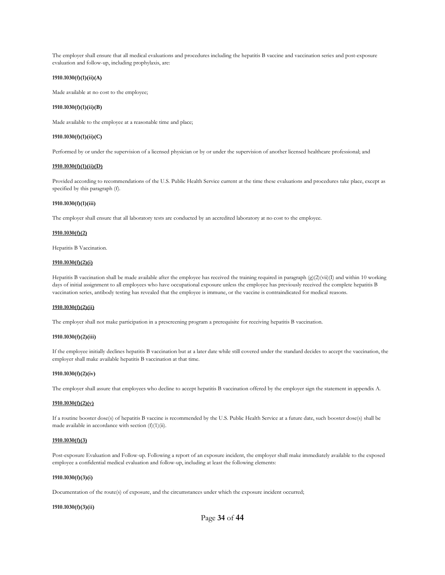The employer shall ensure that all medical evaluations and procedures including the hepatitis B vaccine and vaccination series and post-exposure evaluation and follow-up, including prophylaxis, are:

#### **1910.1030(f)(1)(ii)(A)**

Made available at no cost to the employee;

### **1910.1030(f)(1)(ii)(B)**

Made available to the employee at a reasonable time and place;

#### **1910.1030(f)(1)(ii)(C)**

Performed by or under the supervision of a licensed physician or by or under the supervision of another licensed healthcare professional; and

### **[1910.1030\(f\)\(1\)\(ii\)\(D\)](https://www.osha.gov/pls/oshaweb/owalink.query_links?src_doc_type=STANDARDS&src_unique_file=1910_1030&src_anchor_name=1910.1030(f)(1)(ii)(D))**

Provided according to recommendations of the U.S. Public Health Service current at the time these evaluations and procedures take place, except as specified by this paragraph (f).

#### **1910.1030(f)(1)(iii)**

The employer shall ensure that all laboratory tests are conducted by an accredited laboratory at no cost to the employee.

#### **[1910.1030\(f\)\(2\)](https://www.osha.gov/pls/oshaweb/owalink.query_links?src_doc_type=STANDARDS&src_unique_file=1910_1030&src_anchor_name=1910.1030(f)(2))**

Hepatitis B Vaccination.

#### **[1910.1030\(f\)\(2\)\(i\)](https://www.osha.gov/pls/oshaweb/owalink.query_links?src_doc_type=STANDARDS&src_unique_file=1910_1030&src_anchor_name=1910.1030(f)(2)(i))**

Hepatitis B vaccination shall be made available after the employee has received the training required in paragraph (g)(2)(vii)(I) and within 10 working days of initial assignment to all employees who have occupational exposure unless the employee has previously received the complete hepatitis B vaccination series, antibody testing has revealed that the employee is immune, or the vaccine is contraindicated for medical reasons.

#### **[1910.1030\(f\)\(2\)\(ii\)](https://www.osha.gov/pls/oshaweb/owalink.query_links?src_doc_type=STANDARDS&src_unique_file=1910_1030&src_anchor_name=1910.1030(f)(2)(ii))**

The employer shall not make participation in a prescreening program a prerequisite for receiving hepatitis B vaccination.

#### **1910.1030(f)(2)(iii)**

If the employee initially declines hepatitis B vaccination but at a later date while still covered under the standard decides to accept the vaccination, the employer shall make available hepatitis B vaccination at that time.

#### **1910.1030(f)(2)(iv)**

The employer shall assure that employees who decline to accept hepatitis B vaccination offered by the employer sign the statement in appendix A.

#### **[1910.1030\(f\)\(2\)\(v\)](https://www.osha.gov/pls/oshaweb/owalink.query_links?src_doc_type=STANDARDS&src_unique_file=1910_1030&src_anchor_name=1910.1030(f)(2)(v))**

If a routine booster dose(s) of hepatitis B vaccine is recommended by the U.S. Public Health Service at a future date, such booster dose(s) shall be made available in accordance with section  $(f)(1)(ii)$ .

#### **[1910.1030\(f\)\(3\)](https://www.osha.gov/pls/oshaweb/owalink.query_links?src_doc_type=STANDARDS&src_unique_file=1910_1030&src_anchor_name=1910.1030(f)(3))**

Post-exposure Evaluation and Follow-up. Following a report of an exposure incident, the employer shall make immediately available to the exposed employee a confidential medical evaluation and follow-up, including at least the following elements:

# **1910.1030(f)(3)(i)**

Documentation of the route(s) of exposure, and the circumstances under which the exposure incident occurred;

# **1910.1030(f)(3)(ii)**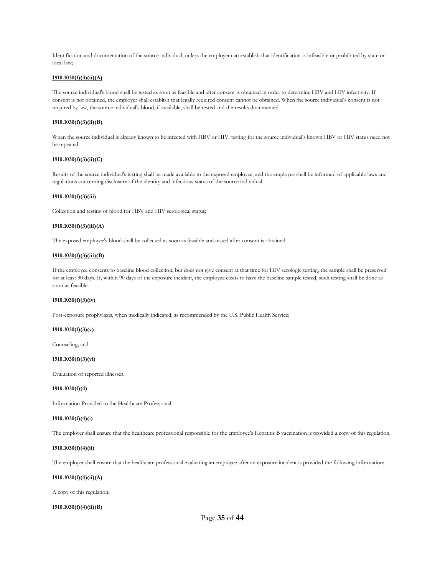Identification and documentation of the source individual, unless the employer can establish that identification is infeasible or prohibited by state or local law;

#### **[1910.1030\(f\)\(3\)\(ii\)\(A\)](https://www.osha.gov/pls/oshaweb/owalink.query_links?src_doc_type=STANDARDS&src_unique_file=1910_1030&src_anchor_name=1910.1030(f)(3)(ii)(A))**

The source individual's blood shall be tested as soon as feasible and after consent is obtained in order to determine HBV and HIV infectivity. If consent is not obtained, the employer shall establish that legally required consent cannot be obtained. When the source individual's consent is not required by law, the source individual's blood, if available, shall be tested and the results documented.

#### **1910.1030(f)(3)(ii)(B)**

When the source individual is already known to be infected with HBV or HIV, testing for the source individual's known HBV or HIV status need not be repeated.

# **1910.1030(f)(3)(ii)(C)**

Results of the source individual's testing shall be made available to the exposed employee, and the employee shall be informed of applicable laws and regulations concerning disclosure of the identity and infectious status of the source individual.

### **1910.1030(f)(3)(iii)**

Collection and testing of blood for HBV and HIV serological status;

#### **1910.1030(f)(3)(iii)(A)**

The exposed employee's blood shall be collected as soon as feasible and tested after consent is obtained.

#### **[1910.1030\(f\)\(3\)\(iii\)\(B\)](https://www.osha.gov/pls/oshaweb/owalink.query_links?src_doc_type=STANDARDS&src_unique_file=1910_1030&src_anchor_name=1910.1030(f)(3)(iii)(B))**

If the employee consents to baseline blood collection, but does not give consent at that time for HIV serologic testing, the sample shall be preserved for at least 90 days. If, within 90 days of the exposure incident, the employee elects to have the baseline sample tested, such testing shall be done as soon as feasible.

#### **1910.1030(f)(3)(iv)**

Post-exposure prophylaxis, when medically indicated, as recommended by the U.S. Public Health Service;

# **1910.1030(f)(3)(v)**

Counseling; and

### **1910.1030(f)(3)(vi)**

Evaluation of reported illnesses.

#### **1910.1030(f)(4)**

Information Provided to the Healthcare Professional.

#### **1910.1030(f)(4)(i)**

The employer shall ensure that the healthcare professional responsible for the employee's Hepatitis B vaccination is provided a copy of this regulation.

#### **1910.1030(f)(4)(ii)**

The employer shall ensure that the healthcare professional evaluating an employee after an exposure incident is provided the following information:

#### **1910.1030(f)(4)(ii)(A)**

A copy of this regulation;

### **1910.1030(f)(4)(ii)(B)**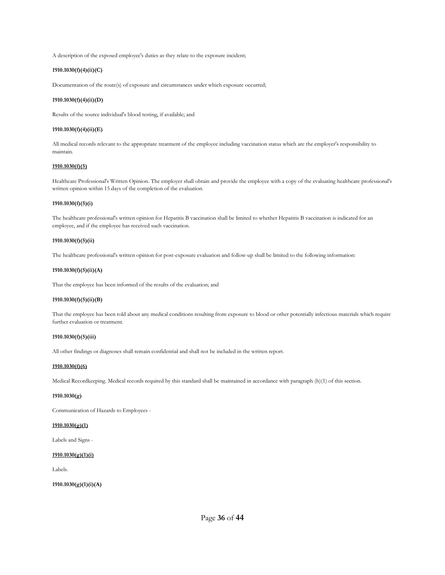A description of the exposed employee's duties as they relate to the exposure incident;

# **1910.1030(f)(4)(ii)(C)**

Documentation of the route(s) of exposure and circumstances under which exposure occurred;

#### **1910.1030(f)(4)(ii)(D)**

Results of the source individual's blood testing, if available; and

#### **1910.1030(f)(4)(ii)(E)**

All medical records relevant to the appropriate treatment of the employee including vaccination status which are the employer's responsibility to maintain.

### **[1910.1030\(f\)\(5\)](https://www.osha.gov/pls/oshaweb/owalink.query_links?src_doc_type=STANDARDS&src_unique_file=1910_1030&src_anchor_name=1910.1030(f)(5))**

Healthcare Professional's Written Opinion. The employer shall obtain and provide the employee with a copy of the evaluating healthcare professional's written opinion within 15 days of the completion of the evaluation.

#### **1910.1030(f)(5)(i)**

The healthcare professional's written opinion for Hepatitis B vaccination shall be limited to whether Hepatitis B vaccination is indicated for an employee, and if the employee has received such vaccination.

#### **1910.1030(f)(5)(ii)**

The healthcare professional's written opinion for post-exposure evaluation and follow-up shall be limited to the following information:

#### **1910.1030(f)(5)(ii)(A)**

That the employee has been informed of the results of the evaluation; and

# **1910.1030(f)(5)(ii)(B)**

That the employee has been told about any medical conditions resulting from exposure to blood or other potentially infectious materials which require further evaluation or treatment.

#### **1910.1030(f)(5)(iii)**

All other findings or diagnoses shall remain confidential and shall not be included in the written report.

#### **[1910.1030\(f\)\(6\)](https://www.osha.gov/pls/oshaweb/owalink.query_links?src_doc_type=STANDARDS&src_unique_file=1910_1030&src_anchor_name=1910.1030(g))**

Medical Recordkeeping. Medical records required by this standard shall be maintained in accordance with paragraph (h)(1) of this section.

# **1910.1030(g)**

Communication of Hazards to Employees -

#### **[1910.1030\(g\)\(1\)](https://www.osha.gov/pls/oshaweb/owalink.query_links?src_doc_type=STANDARDS&src_unique_file=1910_1030&src_anchor_name=1910.1030(g)(1))**

Labels and Signs -

# **[1910.1030\(g\)\(1\)\(i\)](https://www.osha.gov/pls/oshaweb/owalink.query_links?src_doc_type=STANDARDS&src_unique_file=1910_1030&src_anchor_name=1910.1030(g)(1)(i))**

Labels.

**1910.1030(g)(1)(i)(A)**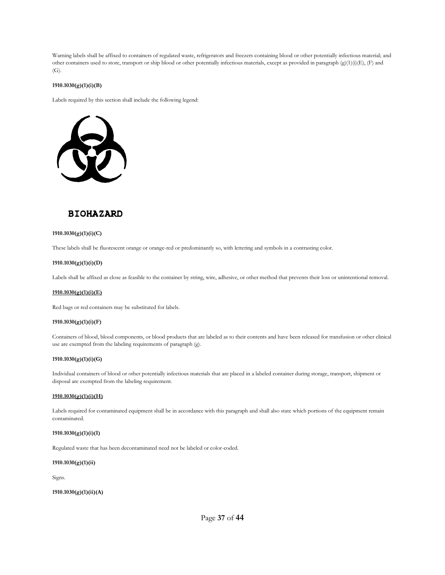Warning labels shall be affixed to containers of regulated waste, refrigerators and freezers containing blood or other potentially infectious material; and other containers used to store, transport or ship blood or other potentially infectious materials, except as provided in paragraph (g)(1)(i)(E), (F) and (G).

# **1910.1030(g)(1)(i)(B)**

Labels required by this section shall include the following legend:



# **BIOHAZARD**

# **1910.1030(g)(1)(i)(C)**

These labels shall be fluorescent orange or orange-red or predominantly so, with lettering and symbols in a contrasting color.

# **1910.1030(g)(1)(i)(D)**

Labels shall be affixed as close as feasible to the container by string, wire, adhesive, or other method that prevents their loss or unintentional removal.

### **[1910.1030\(g\)\(1\)\(i\)\(E\)](https://www.osha.gov/pls/oshaweb/owalink.query_links?src_doc_type=STANDARDS&src_unique_file=1910_1030&src_anchor_name=1910.1030(g)(1)(i)(E))**

Red bags or red containers may be substituted for labels.

#### **1910.1030(g)(1)(i)(F)**

Containers of blood, blood components, or blood products that are labeled as to their contents and have been released for transfusion or other clinical use are exempted from the labeling requirements of paragraph (g).

# **1910.1030(g)(1)(i)(G)**

Individual containers of blood or other potentially infectious materials that are placed in a labeled container during storage, transport, shipment or disposal are exempted from the labeling requirement.

#### **[1910.1030\(g\)\(1\)\(i\)\(H\)](https://www.osha.gov/pls/oshaweb/owalink.query_links?src_doc_type=STANDARDS&src_unique_file=1910_1030&src_anchor_name=1910.1030(g)(1)(i)(H))**

Labels required for contaminated equipment shall be in accordance with this paragraph and shall also state which portions of the equipment remain contaminated.

# **1910.1030(g)(1)(i)(I)**

Regulated waste that has been decontaminated need not be labeled or color-coded.

# **1910.1030(g)(1)(ii)**

Signs.

**1910.1030(g)(1)(ii)(A)**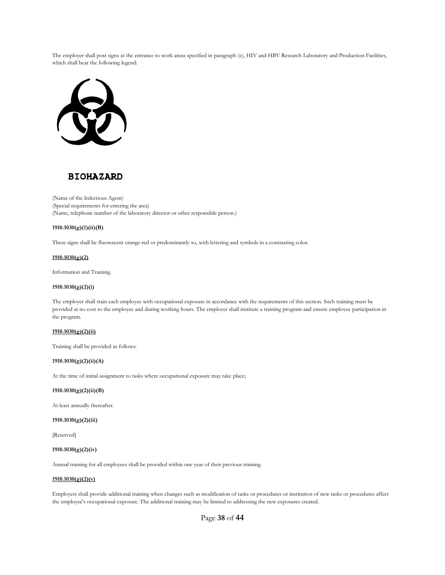The employer shall post signs at the entrance to work areas specified in paragraph (e), HIV and HBV Research Laboratory and Production Facilities, which shall bear the following legend:



# **BIOHAZARD**

(Name of the Infectious Agent) (Special requirements for entering the area) (Name, telephone number of the laboratory director or other responsible person.)

### **1910.1030(g)(1)(ii)(B)**

These signs shall be fluorescent orange-red or predominantly so, with lettering and symbols in a contrasting color.

### **[1910.1030\(g\)\(2\)](https://www.osha.gov/pls/oshaweb/owalink.query_links?src_doc_type=STANDARDS&src_unique_file=1910_1030&src_anchor_name=1910.1030(g)(2))**

Information and Training.

### **1910.1030(g)(2)(i)**

The employer shall train each employee with occupational exposure in accordance with the requirements of this section. Such training must be provided at no cost to the employee and during working hours. The employer shall institute a training program and ensure employee participation in the program.

#### **[1910.1030\(g\)\(2\)\(ii\)](https://www.osha.gov/pls/oshaweb/owalink.query_links?src_doc_type=STANDARDS&src_unique_file=1910_1030&src_anchor_name=1910.1030(g)(2)(ii))**

Training shall be provided as follows:

#### **1910.1030(g)(2)(ii)(A)**

At the time of initial assignment to tasks where occupational exposure may take place;

#### **1910.1030(g)(2)(ii)(B)**

At least annually thereafter.

# **1910.1030(g)(2)(iii)**

[Reserved]

#### **1910.1030(g)(2)(iv)**

Annual training for all employees shall be provided within one year of their previous training.

#### **[1910.1030\(g\)\(2\)\(v\)](https://www.osha.gov/pls/oshaweb/owalink.query_links?src_doc_type=STANDARDS&src_unique_file=1910_1030&src_anchor_name=1910.1030(g)(2)(v))**

Employers shall provide additional training when changes such as modification of tasks or procedures or institution of new tasks or procedures affect the employee's occupational exposure. The additional training may be limited to addressing the new exposures created.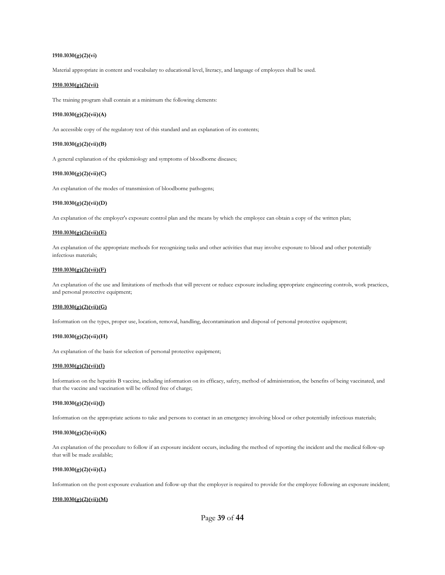#### **1910.1030(g)(2)(vi)**

Material appropriate in content and vocabulary to educational level, literacy, and language of employees shall be used.

### **[1910.1030\(g\)\(2\)\(vii\)](https://www.osha.gov/pls/oshaweb/owalink.query_links?src_doc_type=STANDARDS&src_unique_file=1910_1030&src_anchor_name=1910.1030(g)(2)(vii))**

The training program shall contain at a minimum the following elements:

#### **1910.1030(g)(2)(vii)(A)**

An accessible copy of the regulatory text of this standard and an explanation of its contents;

#### **1910.1030(g)(2)(vii)(B)**

A general explanation of the epidemiology and symptoms of bloodborne diseases;

#### **1910.1030(g)(2)(vii)(C)**

An explanation of the modes of transmission of bloodborne pathogens;

#### **1910.1030(g)(2)(vii)(D)**

An explanation of the employer's exposure control plan and the means by which the employee can obtain a copy of the written plan;

#### **[1910.1030\(g\)\(2\)\(vii\)\(E\)](https://www.osha.gov/pls/oshaweb/owalink.query_links?src_doc_type=STANDARDS&src_unique_file=1910_1030&src_anchor_name=1910.1030(g)(2)(vii)(E))**

An explanation of the appropriate methods for recognizing tasks and other activities that may involve exposure to blood and other potentially infectious materials;

#### **[1910.1030\(g\)\(2\)\(vii\)\(F\)](https://www.osha.gov/pls/oshaweb/owalink.query_links?src_doc_type=STANDARDS&src_unique_file=1910_1030&src_anchor_name=1910.1030(g)(2)(vii)(F))**

An explanation of the use and limitations of methods that will prevent or reduce exposure including appropriate engineering controls, work practices, and personal protective equipment;

#### **[1910.1030\(g\)\(2\)\(vii\)\(G\)](https://www.osha.gov/pls/oshaweb/owalink.query_links?src_doc_type=STANDARDS&src_unique_file=1910_1030&src_anchor_name=1910.1030(g)(2)(vii)(G))**

Information on the types, proper use, location, removal, handling, decontamination and disposal of personal protective equipment;

# **1910.1030(g)(2)(vii)(H)**

An explanation of the basis for selection of personal protective equipment;

#### **[1910.1030\(g\)\(2\)\(vii\)\(I\)](https://www.osha.gov/pls/oshaweb/owalink.query_links?src_doc_type=STANDARDS&src_unique_file=1910_1030&src_anchor_name=1910.1030(g)(2)(vii)(I))**

Information on the hepatitis B vaccine, including information on its efficacy, safety, method of administration, the benefits of being vaccinated, and that the vaccine and vaccination will be offered free of charge;

### **1910.1030(g)(2)(vii)(J)**

Information on the appropriate actions to take and persons to contact in an emergency involving blood or other potentially infectious materials;

#### **1910.1030(g)(2)(vii)(K)**

An explanation of the procedure to follow if an exposure incident occurs, including the method of reporting the incident and the medical follow-up that will be made available;

#### **1910.1030(g)(2)(vii)(L)**

Information on the post-exposure evaluation and follow-up that the employer is required to provide for the employee following an exposure incident;

# **[1910.1030\(g\)\(2\)\(vii\)\(M\)](https://www.osha.gov/pls/oshaweb/owalink.query_links?src_doc_type=STANDARDS&src_unique_file=1910_1030&src_anchor_name=1910.1030(g)(2)(vii)(M))**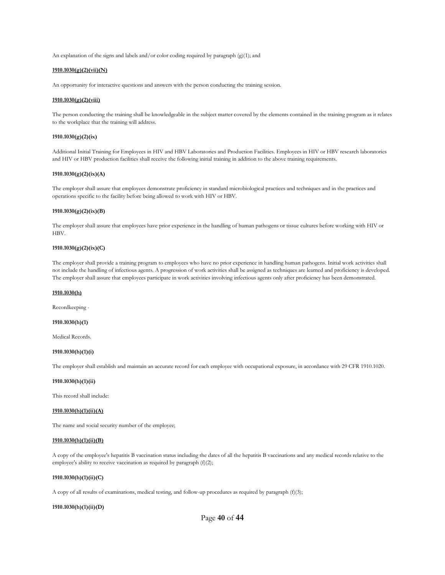An explanation of the signs and labels and/or color coding required by paragraph (g)(1); and

#### **[1910.1030\(g\)\(2\)\(vii\)\(N\)](https://www.osha.gov/pls/oshaweb/owalink.query_links?src_doc_type=STANDARDS&src_unique_file=1910_1030&src_anchor_name=1910.1030(g)(2)(vii)(N))**

An opportunity for interactive questions and answers with the person conducting the training session.

#### **[1910.1030\(g\)\(2\)\(viii\)](https://www.osha.gov/pls/oshaweb/owalink.query_links?src_doc_type=STANDARDS&src_unique_file=1910_1030&src_anchor_name=1910.1030(g)(2)(viii))**

The person conducting the training shall be knowledgeable in the subject matter covered by the elements contained in the training program as it relates to the workplace that the training will address.

#### **1910.1030(g)(2)(ix)**

Additional Initial Training for Employees in HIV and HBV Laboratories and Production Facilities. Employees in HIV or HBV research laboratories and HIV or HBV production facilities shall receive the following initial training in addition to the above training requirements.

#### **1910.1030(g)(2)(ix)(A)**

The employer shall assure that employees demonstrate proficiency in standard microbiological practices and techniques and in the practices and operations specific to the facility before being allowed to work with HIV or HBV.

#### **1910.1030(g)(2)(ix)(B)**

The employer shall assure that employees have prior experience in the handling of human pathogens or tissue cultures before working with HIV or HBV.

### **1910.1030(g)(2)(ix)(C)**

The employer shall provide a training program to employees who have no prior experience in handling human pathogens. Initial work activities shall not include the handling of infectious agents. A progression of work activities shall be assigned as techniques are learned and proficiency is developed. The employer shall assure that employees participate in work activities involving infectious agents only after proficiency has been demonstrated.

#### **[1910.1030\(h\)](https://www.osha.gov/pls/oshaweb/owalink.query_links?src_doc_type=STANDARDS&src_unique_file=1910_1030&src_anchor_name=1910.1030(h))**

Recordkeeping -

### **1910.1030(h)(1)**

Medical Records.

# **1910.1030(h)(1)(i)**

The employer shall establish and maintain an accurate record for each employee with occupational exposure, in accordance with 29 CFR 1910.1020.

#### **1910.1030(h)(1)(ii)**

This record shall include:

### **[1910.1030\(h\)\(1\)\(ii\)\(A\)](https://www.osha.gov/pls/oshaweb/owalink.query_links?src_doc_type=STANDARDS&src_unique_file=1910_1030&src_anchor_name=1910.1030(h)(1)(ii)(A))**

The name and social security number of the employee;

#### **[1910.1030\(h\)\(1\)\(ii\)\(B\)](https://www.osha.gov/pls/oshaweb/owalink.query_links?src_doc_type=STANDARDS&src_unique_file=1910_1030&src_anchor_name=1910.1030(h)(1)(ii)(B))**

A copy of the employee's hepatitis B vaccination status including the dates of all the hepatitis B vaccinations and any medical records relative to the employee's ability to receive vaccination as required by paragraph (f)(2);

#### **1910.1030(h)(1)(ii)(C)**

A copy of all results of examinations, medical testing, and follow-up procedures as required by paragraph (f)(3);

### **1910.1030(h)(1)(ii)(D)**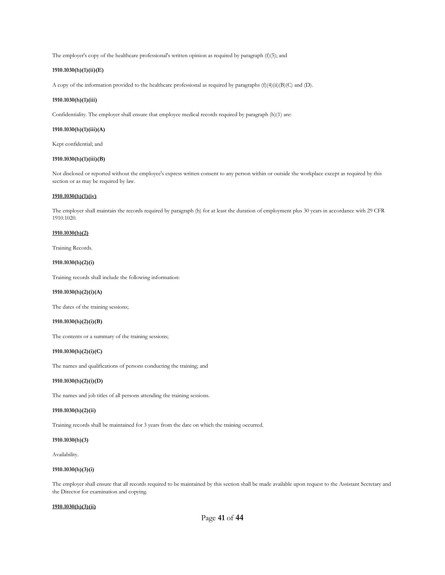The employer's copy of the healthcare professional's written opinion as required by paragraph (f)(5); and

# **1910.1030(h)(1)(ii)(E)**

A copy of the information provided to the healthcare professional as required by paragraphs  $(f)(4)(ii)(B)(C)$  and  $(D)$ .

# **1910.1030(h)(1)(iii)**

Confidentiality. The employer shall ensure that employee medical records required by paragraph (h)(1) are:

#### **1910.1030(h)(1)(iii)(A)**

Kept confidential; and

# **1910.1030(h)(1)(iii)(B)**

Not disclosed or reported without the employee's express written consent to any person within or outside the workplace except as required by this section or as may be required by law.

#### **[1910.1030\(h\)\(1\)\(iv\)](https://www.osha.gov/pls/oshaweb/owalink.query_links?src_doc_type=STANDARDS&src_unique_file=1910_1030&src_anchor_name=1910.1030(h)(1)(iv))**

The employer shall maintain the records required by paragraph (h) for at least the duration of employment plus 30 years in accordance with 29 CFR 1910.1020.

### **[1910.1030\(h\)\(2\)](https://www.osha.gov/pls/oshaweb/owalink.query_links?src_doc_type=STANDARDS&src_unique_file=1910_1030&src_anchor_name=1910.1030(h)(2))**

Training Records.

# **1910.1030(h)(2)(i)**

Training records shall include the following information:

### **1910.1030(h)(2)(i)(A)**

The dates of the training sessions;

### **1910.1030(h)(2)(i)(B)**

The contents or a summary of the training sessions;

# **1910.1030(h)(2)(i)(C)**

The names and qualifications of persons conducting the training; and

### **1910.1030(h)(2)(i)(D)**

The names and job titles of all persons attending the training sessions.

# **1910.1030(h)(2)(ii)**

Training records shall be maintained for 3 years from the date on which the training occurred.

### **1910.1030(h)(3)**

Availability.

# **1910.1030(h)(3)(i)**

The employer shall ensure that all records required to be maintained by this section shall be made available upon request to the Assistant Secretary and the Director for examination and copying.

# **[1910.1030\(h\)\(3\)\(ii\)](https://www.osha.gov/pls/oshaweb/owalink.query_links?src_doc_type=STANDARDS&src_unique_file=1910_1030&src_anchor_name=1910.1030(h)(3)(ii))**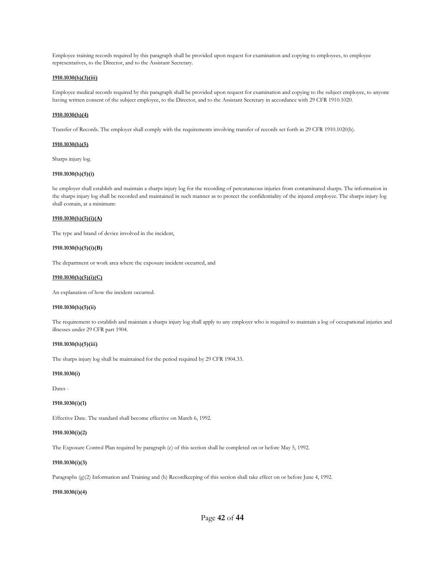Employee training records required by this paragraph shall be provided upon request for examination and copying to employees, to employee representatives, to the Director, and to the Assistant Secretary.

### **[1910.1030\(h\)\(3\)\(iii\)](https://www.osha.gov/pls/oshaweb/owalink.query_links?src_doc_type=STANDARDS&src_unique_file=1910_1030&src_anchor_name=1910.1030(h)(3)(iii))**

Employee medical records required by this paragraph shall be provided upon request for examination and copying to the subject employee, to anyone having written consent of the subject employee, to the Director, and to the Assistant Secretary in accordance with 29 CFR 1910.1020.

#### **[1910.1030\(h\)\(4\)](https://www.osha.gov/pls/oshaweb/owalink.query_links?src_doc_type=STANDARDS&src_unique_file=1910_1030&src_anchor_name=1910.1030(h)(4))**

Transfer of Records. The employer shall comply with the requirements involving transfer of records set forth in 29 CFR 1910.1020(h).

# **[1910.1030\(h\)\(5\)](https://www.osha.gov/pls/oshaweb/owalink.query_links?src_doc_type=STANDARDS&src_unique_file=1910_1030&src_anchor_name=1910.1030(h)(5))**

Sharps injury log.

#### **1910.1030(h)(5)(i)**

he employer shall establish and maintain a sharps injury log for the recording of percutaneous injuries from contaminated sharps. The information in the sharps injury log shall be recorded and maintained in such manner as to protect the confidentiality of the injured employee. The sharps injury log shall contain, at a minimum:

#### **[1910.1030\(h\)\(5\)\(i\)\(A\)](https://www.osha.gov/pls/oshaweb/sowalink.query_links?src_doc_type=STANDARDS&src_unique_file=1910_1030&src_anchor_name=1910.1030(h)(5)(i)(A))**

The type and brand of device involved in the incident,

### **1910.1030(h)(5)(i)(B)**

The department or work area where the exposure incident occurred, and

#### **[1910.1030\(h\)\(5\)\(i\)\(C\)](https://www.osha.gov/pls/oshaweb/owalink.query_links?src_doc_type=STANDARDS&src_unique_file=1910_1030&src_anchor_name=1910.1030(h)(5)(i)(C))**

An explanation of how the incident occurred.

# **1910.1030(h)(5)(ii)**

The requirement to establish and maintain a sharps injury log shall apply to any employer who is required to maintain a log of occupational injuries and illnesses under 29 CFR part 1904.

# **1910.1030(h)(5)(iii)**

The sharps injury log shall be maintained for the period required by 29 CFR 1904.33.

#### **1910.1030(i)**

Dates -

# **1910.1030(i)(1)**

Effective Date. The standard shall become effective on March 6, 1992.

#### **1910.1030(i)(2)**

The Exposure Control Plan required by paragraph (c) of this section shall be completed on or before May 5, 1992.

# **1910.1030(i)(3)**

Paragraphs (g)(2) Information and Training and (h) Recordkeeping of this section shall take effect on or before June 4, 1992.

### **1910.1030(i)(4)**